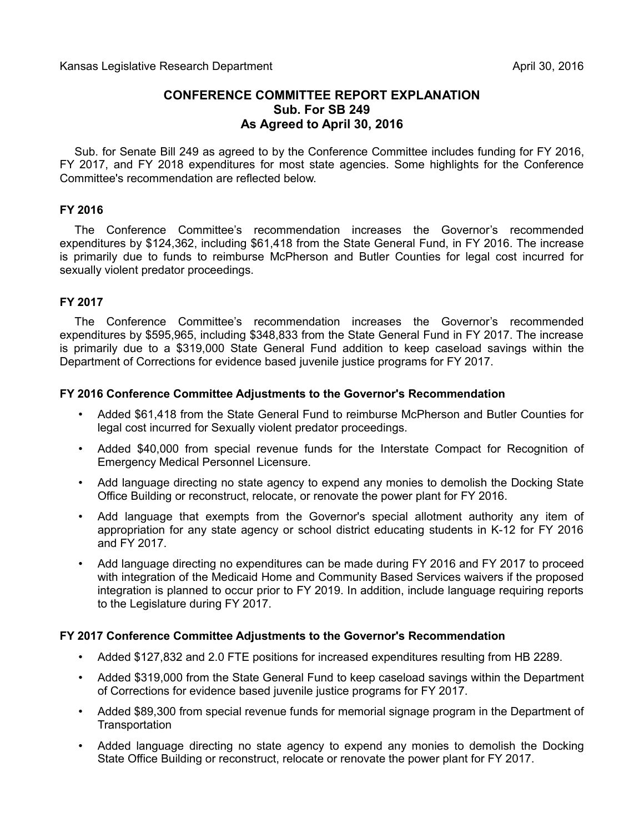# **CONFERENCE COMMITTEE REPORT EXPLANATION Sub. For SB 249 As Agreed to April 30, 2016**

Sub. for Senate Bill 249 as agreed to by the Conference Committee includes funding for FY 2016, FY 2017, and FY 2018 expenditures for most state agencies. Some highlights for the Conference Committee's recommendation are reflected below.

#### **FY 2016**

The Conference Committee's recommendation increases the Governor's recommended expenditures by \$124,362, including \$61,418 from the State General Fund, in FY 2016. The increase is primarily due to funds to reimburse McPherson and Butler Counties for legal cost incurred for sexually violent predator proceedings.

#### **FY 2017**

The Conference Committee's recommendation increases the Governor's recommended expenditures by \$595,965, including \$348,833 from the State General Fund in FY 2017. The increase is primarily due to a \$319,000 State General Fund addition to keep caseload savings within the Department of Corrections for evidence based juvenile justice programs for FY 2017.

#### **FY 2016 Conference Committee Adjustments to the Governor's Recommendation**

- Added \$61,418 from the State General Fund to reimburse McPherson and Butler Counties for legal cost incurred for Sexually violent predator proceedings.
- Added \$40,000 from special revenue funds for the Interstate Compact for Recognition of Emergency Medical Personnel Licensure.
- Add language directing no state agency to expend any monies to demolish the Docking State Office Building or reconstruct, relocate, or renovate the power plant for FY 2016.
- Add language that exempts from the Governor's special allotment authority any item of appropriation for any state agency or school district educating students in K-12 for FY 2016 and FY 2017.
- Add language directing no expenditures can be made during FY 2016 and FY 2017 to proceed with integration of the Medicaid Home and Community Based Services waivers if the proposed integration is planned to occur prior to FY 2019. In addition, include language requiring reports to the Legislature during FY 2017.

## **FY 2017 Conference Committee Adjustments to the Governor's Recommendation**

- Added \$127,832 and 2.0 FTE positions for increased expenditures resulting from HB 2289.
- Added \$319,000 from the State General Fund to keep caseload savings within the Department of Corrections for evidence based juvenile justice programs for FY 2017.
- Added \$89,300 from special revenue funds for memorial signage program in the Department of **Transportation**
- Added language directing no state agency to expend any monies to demolish the Docking State Office Building or reconstruct, relocate or renovate the power plant for FY 2017.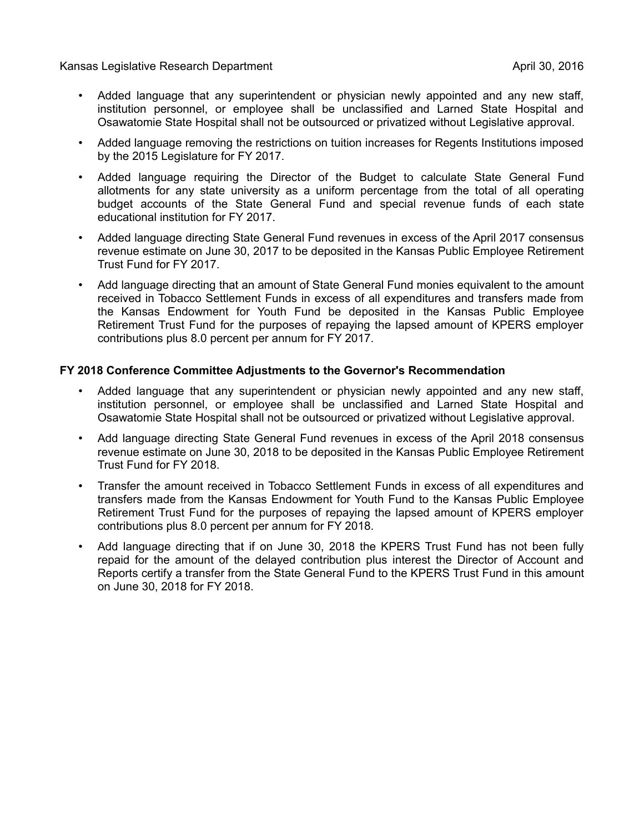Kansas Legislative Research Department April 30, 2016

- Added language that any superintendent or physician newly appointed and any new staff, institution personnel, or employee shall be unclassified and Larned State Hospital and Osawatomie State Hospital shall not be outsourced or privatized without Legislative approval.
- Added language removing the restrictions on tuition increases for Regents Institutions imposed by the 2015 Legislature for FY 2017.
- Added language requiring the Director of the Budget to calculate State General Fund allotments for any state university as a uniform percentage from the total of all operating budget accounts of the State General Fund and special revenue funds of each state educational institution for FY 2017.
- Added language directing State General Fund revenues in excess of the April 2017 consensus revenue estimate on June 30, 2017 to be deposited in the Kansas Public Employee Retirement Trust Fund for FY 2017.
- Add language directing that an amount of State General Fund monies equivalent to the amount received in Tobacco Settlement Funds in excess of all expenditures and transfers made from the Kansas Endowment for Youth Fund be deposited in the Kansas Public Employee Retirement Trust Fund for the purposes of repaying the lapsed amount of KPERS employer contributions plus 8.0 percent per annum for FY 2017.

#### **FY 2018 Conference Committee Adjustments to the Governor's Recommendation**

- Added language that any superintendent or physician newly appointed and any new staff, institution personnel, or employee shall be unclassified and Larned State Hospital and Osawatomie State Hospital shall not be outsourced or privatized without Legislative approval.
- Add language directing State General Fund revenues in excess of the April 2018 consensus revenue estimate on June 30, 2018 to be deposited in the Kansas Public Employee Retirement Trust Fund for FY 2018.
- Transfer the amount received in Tobacco Settlement Funds in excess of all expenditures and transfers made from the Kansas Endowment for Youth Fund to the Kansas Public Employee Retirement Trust Fund for the purposes of repaying the lapsed amount of KPERS employer contributions plus 8.0 percent per annum for FY 2018.
- Add language directing that if on June 30, 2018 the KPERS Trust Fund has not been fully repaid for the amount of the delayed contribution plus interest the Director of Account and Reports certify a transfer from the State General Fund to the KPERS Trust Fund in this amount on June 30, 2018 for FY 2018.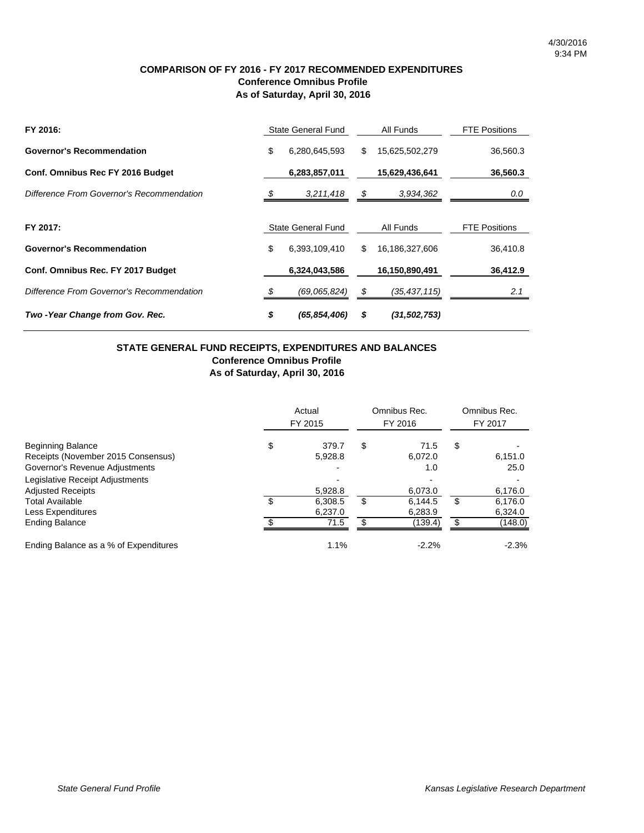#### **COMPARISON OF FY 2016 - FY 2017 RECOMMENDED EXPENDITURES Conference Omnibus Profile As of Saturday, April 30, 2016**

| FY 2016:                                  | State General Fund |                | All Funds |                | <b>FTE Positions</b> |
|-------------------------------------------|--------------------|----------------|-----------|----------------|----------------------|
| <b>Governor's Recommendation</b>          | \$                 | 6,280,645,593  | \$        | 15,625,502,279 | 36,560.3             |
| Conf. Omnibus Rec FY 2016 Budget          |                    | 6,283,857,011  |           | 15,629,436,641 | 36,560.3             |
| Difference From Governor's Recommendation | \$                 | 3,211,418      | - \$      | 3,934,362      | 0.0                  |
| FY 2017:                                  | State General Fund |                |           |                | <b>FTE Positions</b> |
| <b>Governor's Recommendation</b>          | \$                 | 6,393,109,410  | \$        | 16,186,327,606 | 36,410.8             |
| Conf. Omnibus Rec. FY 2017 Budget         |                    | 6,324,043,586  |           | 16,150,890,491 | 36,412.9             |
| Difference From Governor's Recommendation |                    | (69,065,824)   | -\$       | (35, 437, 115) | 2.1                  |
| Two - Year Change from Gov. Rec.          | \$                 | (65, 854, 406) | \$        | (31, 502, 753) |                      |

#### **STATE GENERAL FUND RECEIPTS, EXPENDITURES AND BALANCES Conference Omnibus Profile As of Saturday, April 30, 2016**

|                                       | Actual<br>FY 2015 |         | Omnibus Rec.<br>FY 2016 |         |    | Omnibus Rec.<br>FY 2017 |
|---------------------------------------|-------------------|---------|-------------------------|---------|----|-------------------------|
| \$<br><b>Beginning Balance</b>        |                   | 379.7   | \$                      | 71.5    | \$ |                         |
| Receipts (November 2015 Consensus)    |                   | 5.928.8 |                         | 6.072.0 |    | 6,151.0                 |
| Governor's Revenue Adjustments        |                   |         |                         | 1.0     |    | 25.0                    |
| Legislative Receipt Adjustments       |                   | ٠       |                         | -       |    |                         |
| <b>Adjusted Receipts</b>              |                   | 5,928.8 |                         | 6,073.0 |    | 6,176.0                 |
| <b>Total Available</b><br>\$          |                   | 6.308.5 | \$                      | 6,144.5 | \$ | 6,176.0                 |
| Less Expenditures                     |                   | 6,237.0 |                         | 6,283.9 |    | 6,324.0                 |
| σ<br><b>Ending Balance</b>            |                   | 71.5    | \$.                     | (139.4) | £. | (148.0)                 |
| Ending Balance as a % of Expenditures |                   | 1.1%    |                         | $-2.2%$ |    | $-2.3%$                 |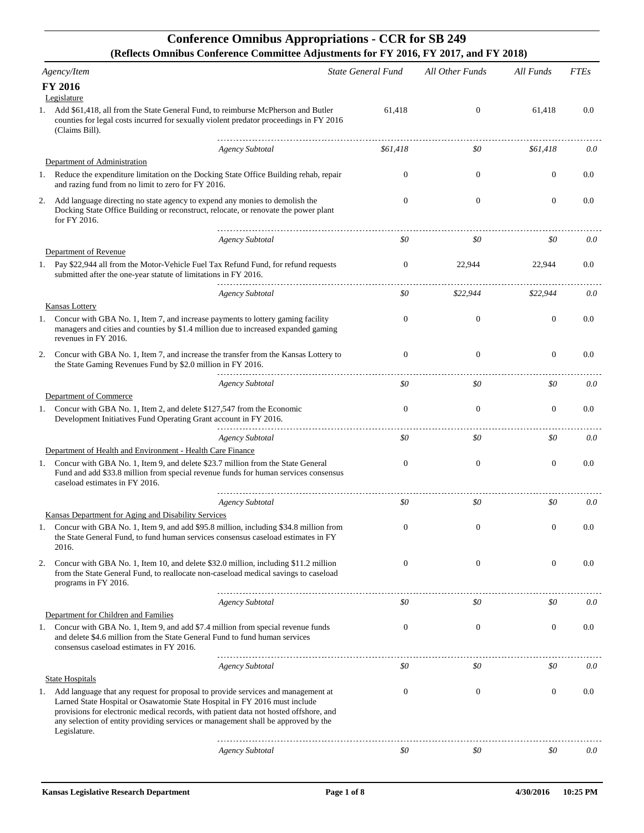## **Conference Omnibus Appropriations - CCR for SB 249 (Reflects Omnibus Conference Committee Adjustments for FY 2016, FY 2017, and FY 2018)**

| Agency/Item                 |                                                                                                                                                                                                                                                                                                                                                              |                        | State General Fund | All Other Funds  | All Funds      | <b>FTEs</b> |
|-----------------------------|--------------------------------------------------------------------------------------------------------------------------------------------------------------------------------------------------------------------------------------------------------------------------------------------------------------------------------------------------------------|------------------------|--------------------|------------------|----------------|-------------|
| <b>FY 2016</b>              |                                                                                                                                                                                                                                                                                                                                                              |                        |                    |                  |                |             |
| Legislature                 |                                                                                                                                                                                                                                                                                                                                                              |                        |                    |                  |                |             |
| 1.                          | Add \$61,418, all from the State General Fund, to reimburse McPherson and Butler<br>counties for legal costs incurred for sexually violent predator proceedings in FY 2016<br>(Claims Bill).                                                                                                                                                                 |                        | 61,418             | $\mathbf{0}$     | 61,418         | 0.0         |
|                             |                                                                                                                                                                                                                                                                                                                                                              | <b>Agency Subtotal</b> | \$61,418           | \$0              | \$61,418       | 0.0         |
|                             | Department of Administration                                                                                                                                                                                                                                                                                                                                 |                        |                    |                  |                |             |
|                             | 1. Reduce the expenditure limitation on the Docking State Office Building rehab, repair<br>and razing fund from no limit to zero for FY 2016.                                                                                                                                                                                                                |                        | 0                  | $\mathbf{0}$     | $\mathbf{0}$   | 0.0         |
| 2.                          | Add language directing no state agency to expend any monies to demolish the<br>Docking State Office Building or reconstruct, relocate, or renovate the power plant<br>for FY 2016.                                                                                                                                                                           |                        | $\mathbf{0}$       | $\theta$         | $\mathbf{0}$   | 0.0         |
|                             |                                                                                                                                                                                                                                                                                                                                                              | <b>Agency Subtotal</b> | \$0                | \$0              | \$0            | 0.0         |
|                             | Department of Revenue                                                                                                                                                                                                                                                                                                                                        |                        |                    |                  |                |             |
|                             | 1. Pay \$22,944 all from the Motor-Vehicle Fuel Tax Refund Fund, for refund requests<br>submitted after the one-year statute of limitations in FY 2016.                                                                                                                                                                                                      |                        | 0                  | 22,944           | 22,944         | 0.0         |
|                             |                                                                                                                                                                                                                                                                                                                                                              | <b>Agency Subtotal</b> | \$0                | \$22,944         | \$22,944       | 0.0         |
| <b>Kansas Lottery</b><br>1. | Concur with GBA No. 1, Item 7, and increase payments to lottery gaming facility<br>managers and cities and counties by \$1.4 million due to increased expanded gaming<br>revenues in FY 2016.                                                                                                                                                                |                        | $\mathbf{0}$       | $\mathbf{0}$     | $\mathbf{0}$   | 0.0         |
| 2.                          | Concur with GBA No. 1, Item 7, and increase the transfer from the Kansas Lottery to<br>the State Gaming Revenues Fund by \$2.0 million in FY 2016.                                                                                                                                                                                                           |                        | $\mathbf{0}$       | $\theta$         | $\overline{0}$ | 0.0         |
|                             |                                                                                                                                                                                                                                                                                                                                                              | <b>Agency Subtotal</b> | \$0                | \$0              | \$0            | 0.0         |
|                             | Department of Commerce                                                                                                                                                                                                                                                                                                                                       |                        |                    |                  |                |             |
| 1.                          | Concur with GBA No. 1, Item 2, and delete \$127,547 from the Economic<br>Development Initiatives Fund Operating Grant account in FY 2016.                                                                                                                                                                                                                    |                        | $\mathbf{0}$       | $\theta$         | $\overline{0}$ | 0.0         |
|                             |                                                                                                                                                                                                                                                                                                                                                              | <b>Agency Subtotal</b> | \$0                | \$0              | \$0            | 0.0         |
|                             | Department of Health and Environment - Health Care Finance                                                                                                                                                                                                                                                                                                   |                        |                    |                  |                |             |
| 1.                          | Concur with GBA No. 1, Item 9, and delete \$23.7 million from the State General<br>Fund and add \$33.8 million from special revenue funds for human services consensus<br>caseload estimates in FY 2016.                                                                                                                                                     |                        | $\boldsymbol{0}$   | $\mathbf{0}$     | $\mathbf{0}$   | 0.0         |
|                             |                                                                                                                                                                                                                                                                                                                                                              | <b>Agency Subtotal</b> | \$0                | \$0              | \$0            | 0.0         |
|                             | Kansas Department for Aging and Disability Services                                                                                                                                                                                                                                                                                                          |                        |                    |                  |                |             |
| 2016.                       | Concur with GBA No. 1, Item 9, and add \$95.8 million, including \$34.8 million from<br>the State General Fund, to fund human services consensus caseload estimates in FY                                                                                                                                                                                    |                        | $\boldsymbol{0}$   | $\boldsymbol{0}$ | $\mathbf{0}$   | 0.0         |
| 2.                          | Concur with GBA No. 1, Item 10, and delete \$32.0 million, including \$11.2 million<br>from the State General Fund, to reallocate non-caseload medical savings to caseload<br>programs in FY 2016.                                                                                                                                                           |                        | $\mathbf{0}$       | $\mathbf{0}$     | $\overline{0}$ | 0.0         |
|                             |                                                                                                                                                                                                                                                                                                                                                              | <b>Agency Subtotal</b> | \$0                | \$0              | \$0            | 0.0         |
|                             | Department for Children and Families                                                                                                                                                                                                                                                                                                                         |                        |                    |                  |                |             |
| 1.                          | Concur with GBA No. 1, Item 9, and add \$7.4 million from special revenue funds<br>and delete \$4.6 million from the State General Fund to fund human services<br>consensus caseload estimates in FY 2016.                                                                                                                                                   |                        | $\boldsymbol{0}$   | $\theta$         | $\overline{0}$ | 0.0         |
|                             |                                                                                                                                                                                                                                                                                                                                                              | <b>Agency Subtotal</b> | \$0                | \$0              | \$0            | 0.0         |
| <b>State Hospitals</b>      |                                                                                                                                                                                                                                                                                                                                                              |                        |                    |                  |                |             |
| 1.                          | Add language that any request for proposal to provide services and management at<br>Larned State Hospital or Osawatomie State Hospital in FY 2016 must include<br>provisions for electronic medical records, with patient data not hosted offshore, and<br>any selection of entity providing services or management shall be approved by the<br>Legislature. |                        | $\mathbf{0}$       | $\theta$         | $\theta$       | 0.0         |
|                             |                                                                                                                                                                                                                                                                                                                                                              | <b>Agency Subtotal</b> | \$0                | \$0              | \$0            | 0.0         |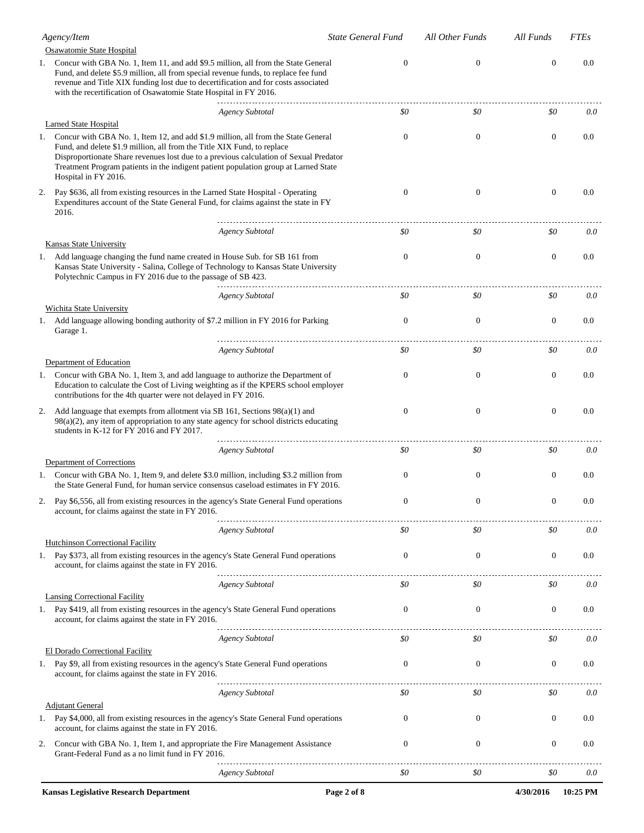|    | Agency/Item                                                                                                                                                                                                                                                                                                                                                          | <b>State General Fund</b> | All Other Funds | All Funds      | <b>FTEs</b> |
|----|----------------------------------------------------------------------------------------------------------------------------------------------------------------------------------------------------------------------------------------------------------------------------------------------------------------------------------------------------------------------|---------------------------|-----------------|----------------|-------------|
|    | Osawatomie State Hospital                                                                                                                                                                                                                                                                                                                                            |                           |                 |                |             |
|    | Concur with GBA No. 1, Item 11, and add \$9.5 million, all from the State General<br>Fund, and delete \$5.9 million, all from special revenue funds, to replace fee fund<br>revenue and Title XIX funding lost due to decertification and for costs associated<br>with the recertification of Osawatomie State Hospital in FY 2016.                                  | $\Omega$                  | $\mathbf{0}$    | $\overline{0}$ | 0.0         |
|    | <b>Agency Subtotal</b>                                                                                                                                                                                                                                                                                                                                               | \$0                       | \$0             | \$0            | 0.0         |
|    | Larned State Hospital                                                                                                                                                                                                                                                                                                                                                |                           |                 |                |             |
| 1. | Concur with GBA No. 1, Item 12, and add \$1.9 million, all from the State General<br>Fund, and delete \$1.9 million, all from the Title XIX Fund, to replace<br>Disproportionate Share revenues lost due to a previous calculation of Sexual Predator<br>Treatment Program patients in the indigent patient population group at Larned State<br>Hospital in FY 2016. | $\mathbf{0}$              | $\theta$        | $\theta$       | 0.0         |
| 2. | Pay \$636, all from existing resources in the Larned State Hospital - Operating<br>Expenditures account of the State General Fund, for claims against the state in FY<br>2016.                                                                                                                                                                                       | $\mathbf{0}$              | $\theta$        | $\theta$       | 0.0         |
|    | <b>Agency Subtotal</b>                                                                                                                                                                                                                                                                                                                                               | \$0                       | \$0             | \$0            | 0.0         |
|    | Kansas State University<br>1. Add language changing the fund name created in House Sub. for SB 161 from<br>Kansas State University - Salina, College of Technology to Kansas State University<br>Polytechnic Campus in FY 2016 due to the passage of SB 423.                                                                                                         | $\mathbf{0}$              | $\mathbf{0}$    | $\mathbf{0}$   | 0.0         |
|    | <b>Agency Subtotal</b>                                                                                                                                                                                                                                                                                                                                               | \$0                       | \$0             | \$0            | 0.0         |
|    | Wichita State University<br>1. Add language allowing bonding authority of \$7.2 million in FY 2016 for Parking<br>Garage 1.                                                                                                                                                                                                                                          | $\Omega$                  | $\theta$        | $\overline{0}$ | 0.0         |
|    | <b>Agency Subtotal</b>                                                                                                                                                                                                                                                                                                                                               | \$0                       | \$0             | \$0            | 0.0         |
| 1. | Department of Education<br>Concur with GBA No. 1, Item 3, and add language to authorize the Department of<br>Education to calculate the Cost of Living weighting as if the KPERS school employer<br>contributions for the 4th quarter were not delayed in FY 2016.                                                                                                   | $\Omega$                  | $\Omega$        | $\overline{0}$ | 0.0         |
| 2. | Add language that exempts from allotment via SB 161, Sections 98(a)(1) and<br>98(a)(2), any item of appropriation to any state agency for school districts educating<br>students in K-12 for FY 2016 and FY 2017.                                                                                                                                                    | $\mathbf{0}$              | $\theta$        | $\mathbf{0}$   | 0.0         |
|    | <b>Agency Subtotal</b>                                                                                                                                                                                                                                                                                                                                               | \$0                       | \$0             | \$0            | 0.0         |
|    | Department of Corrections<br>1. Concur with GBA No. 1, Item 9, and delete \$3.0 million, including \$3.2 million from<br>the State General Fund, for human service consensus caseload estimates in FY 2016.                                                                                                                                                          | 0                         | $\theta$        | $\theta$       | 0.0         |
|    | Pay \$6,556, all from existing resources in the agency's State General Fund operations<br>account, for claims against the state in FY 2016.                                                                                                                                                                                                                          |                           |                 |                | $_{0.0}$    |
|    | Agency Subtotal                                                                                                                                                                                                                                                                                                                                                      | \$0                       | \$0             | \$0            | 0.0         |
|    | Hutchinson Correctional Facility<br>1. Pay \$373, all from existing resources in the agency's State General Fund operations<br>account, for claims against the state in FY 2016.                                                                                                                                                                                     | $\mathbf{0}$              | $\mathbf{0}$    | $\mathbf{0}$   | 0.0         |
|    | <b>Agency Subtotal</b>                                                                                                                                                                                                                                                                                                                                               | \$0                       | \$0             | \$0            | 0.0         |
|    | <b>Lansing Correctional Facility</b><br>1. Pay \$419, all from existing resources in the agency's State General Fund operations                                                                                                                                                                                                                                      | $\mathbf{0}$              | $\mathbf{0}$    | $\overline{0}$ | 0.0         |
|    | account, for claims against the state in FY 2016.                                                                                                                                                                                                                                                                                                                    |                           |                 |                |             |
|    | <b>Agency Subtotal</b>                                                                                                                                                                                                                                                                                                                                               | \$0                       | \$0             | \$0            | 0.0         |
| 1. | <b>El Dorado Correctional Facility</b><br>Pay \$9, all from existing resources in the agency's State General Fund operations<br>account, for claims against the state in FY 2016.                                                                                                                                                                                    | $\boldsymbol{0}$          | $\mathbf{0}$    | $\mathbf{0}$   | 0.0         |
|    | <b>Agency Subtotal</b>                                                                                                                                                                                                                                                                                                                                               | \$0                       | \$0             | \$0            | 0.0         |
|    | <b>Adjutant General</b><br>1. Pay \$4,000, all from existing resources in the agency's State General Fund operations<br>account, for claims against the state in FY 2016.                                                                                                                                                                                            | 0                         | $\theta$        | $\theta$       | 0.0         |
| 2. | Concur with GBA No. 1, Item 1, and appropriate the Fire Management Assistance<br>Grant-Federal Fund as a no limit fund in FY 2016.                                                                                                                                                                                                                                   | $\mathbf{0}$              | $\mathbf{0}$    | $\mathbf{0}$   | 0.0         |
|    | <b>Agency Subtotal</b>                                                                                                                                                                                                                                                                                                                                               | \$0                       | \$0             | \$0            | 0.0         |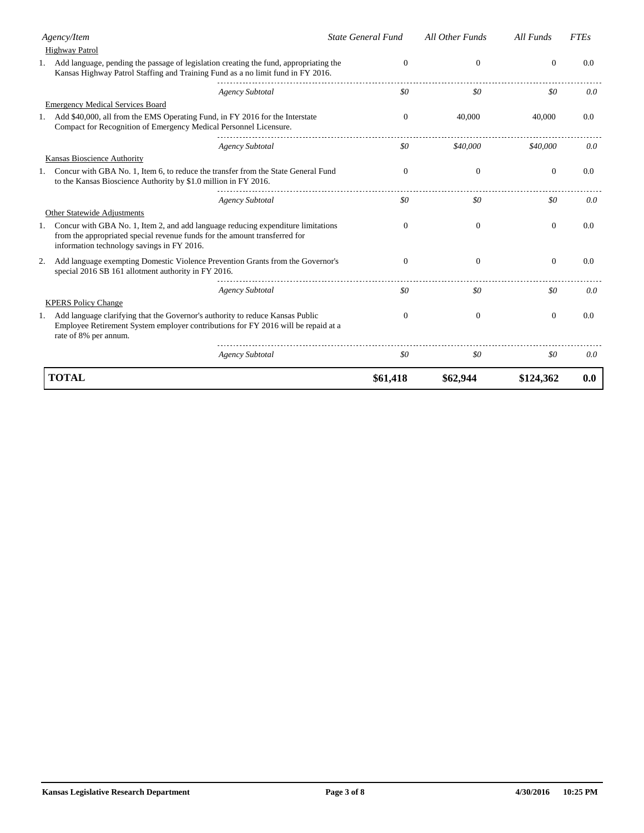| Agency/Item                                                                                                                                                                                                  | <b>State General Fund</b> | All Other Funds  | All Funds    | <b>FTEs</b> |
|--------------------------------------------------------------------------------------------------------------------------------------------------------------------------------------------------------------|---------------------------|------------------|--------------|-------------|
| Highway Patrol                                                                                                                                                                                               |                           |                  |              |             |
| 1. Add language, pending the passage of legislation creating the fund, appropriating the<br>Kansas Highway Patrol Staffing and Training Fund as a no limit fund in FY 2016.                                  | $\mathbf{0}$              | $\mathbf{0}$     | $\mathbf{0}$ | 0.0         |
| Agency Subtotal                                                                                                                                                                                              | \$0                       | \$0              | \$0          | 0.0         |
| <b>Emergency Medical Services Board</b>                                                                                                                                                                      |                           |                  |              |             |
| 1. Add \$40,000, all from the EMS Operating Fund, in FY 2016 for the Interstate<br>Compact for Recognition of Emergency Medical Personnel Licensure.                                                         | $\Omega$                  | 40,000           | 40,000       | 0.0         |
| <b>Agency Subtotal</b>                                                                                                                                                                                       | \$0                       | \$40,000         | \$40,000     | 0.0         |
| Kansas Bioscience Authority                                                                                                                                                                                  |                           |                  |              |             |
| 1. Concur with GBA No. 1, Item 6, to reduce the transfer from the State General Fund<br>to the Kansas Bioscience Authority by \$1.0 million in FY 2016.                                                      | $\Omega$                  | $\boldsymbol{0}$ | $\mathbf{0}$ | 0.0         |
| <b>Agency Subtotal</b>                                                                                                                                                                                       | \$0                       | \$0              | \$0          | 0.0         |
| Other Statewide Adjustments                                                                                                                                                                                  |                           |                  |              |             |
| Concur with GBA No. 1, Item 2, and add language reducing expenditure limitations<br>from the appropriated special revenue funds for the amount transferred for<br>information technology savings in FY 2016. | $\Omega$                  | $\Omega$         | $\mathbf{0}$ | 0.0         |
| Add language exempting Domestic Violence Prevention Grants from the Governor's<br>2.<br>special 2016 SB 161 allotment authority in FY 2016.                                                                  | $\Omega$                  | $\mathbf{0}$     | $\mathbf{0}$ | 0.0         |
| <b>Agency Subtotal</b>                                                                                                                                                                                       | \$0                       | \$0              | \$0          | 0.0         |
| <b>KPERS Policy Change</b>                                                                                                                                                                                   |                           |                  |              |             |
| 1. Add language clarifying that the Governor's authority to reduce Kansas Public<br>Employee Retirement System employer contributions for FY 2016 will be repaid at a<br>rate of 8% per annum.               | $\Omega$                  | $\boldsymbol{0}$ | $\mathbf{0}$ | 0.0         |
| <b>Agency Subtotal</b>                                                                                                                                                                                       | \$0                       | \$0              | \$0          | 0.0         |
| <b>TOTAL</b>                                                                                                                                                                                                 | \$61,418                  | \$62,944         | \$124,362    | 0.0         |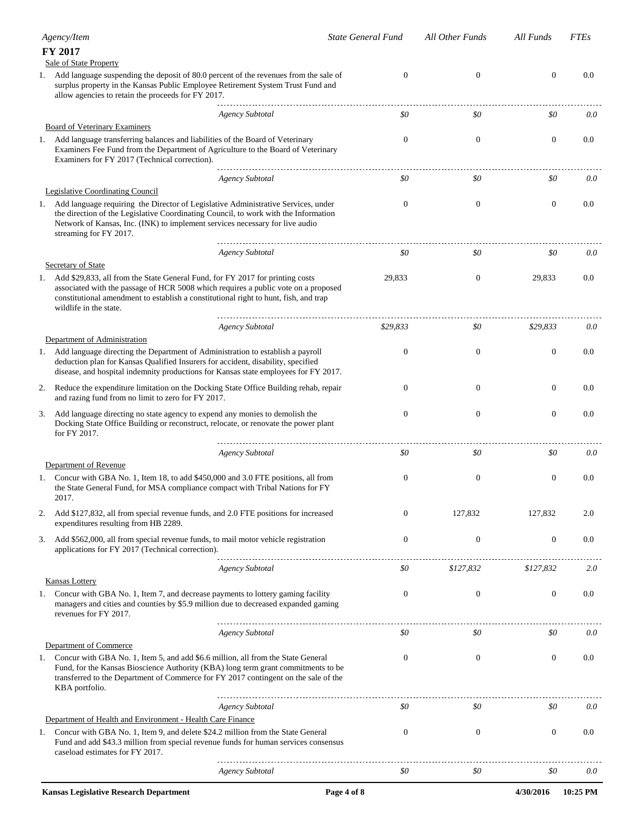|    | Agency/Item                                                                                                                                                                                                                                                                                                                      | <b>State General Fund</b> | All Other Funds  | All Funds        | <b>FTEs</b> |
|----|----------------------------------------------------------------------------------------------------------------------------------------------------------------------------------------------------------------------------------------------------------------------------------------------------------------------------------|---------------------------|------------------|------------------|-------------|
|    | FY 2017<br>Sale of State Property                                                                                                                                                                                                                                                                                                |                           |                  |                  |             |
| 1. | Add language suspending the deposit of 80.0 percent of the revenues from the sale of<br>surplus property in the Kansas Public Employee Retirement System Trust Fund and<br>allow agencies to retain the proceeds for FY 2017.                                                                                                    | $\mathbf{0}$              | $\mathbf{0}$     | $\boldsymbol{0}$ | 0.0         |
|    | <b>Agency Subtotal</b>                                                                                                                                                                                                                                                                                                           | \$0                       | \$0              | \$0              | 0.0         |
|    | <b>Board of Veterinary Examiners</b><br>1. Add language transferring balances and liabilities of the Board of Veterinary<br>Examiners Fee Fund from the Department of Agriculture to the Board of Veterinary<br>Examiners for FY 2017 (Technical correction).                                                                    | $\mathbf{0}$              | $\mathbf{0}$     | $\mathbf{0}$     | 0.0         |
|    | <b>Agency Subtotal</b>                                                                                                                                                                                                                                                                                                           | \$0                       | \$0              | \$0              | 0.0         |
|    | <b>Legislative Coordinating Council</b><br>1. Add language requiring the Director of Legislative Administrative Services, under<br>the direction of the Legislative Coordinating Council, to work with the Information<br>Network of Kansas, Inc. (INK) to implement services necessary for live audio<br>streaming for FY 2017. | 0                         | $\boldsymbol{0}$ | $\boldsymbol{0}$ | $0.0\,$     |
|    | <b>Agency Subtotal</b>                                                                                                                                                                                                                                                                                                           | \$0                       | \$0              | \$0              | 0.0         |
| 1. | Secretary of State<br>Add \$29,833, all from the State General Fund, for FY 2017 for printing costs<br>associated with the passage of HCR 5008 which requires a public vote on a proposed<br>constitutional amendment to establish a constitutional right to hunt, fish, and trap<br>wildlife in the state.                      | 29,833                    | $\mathbf{0}$     | 29,833           | $0.0\,$     |
|    | <b>Agency Subtotal</b>                                                                                                                                                                                                                                                                                                           | \$29,833                  | \$0              | \$29,833         | 0.0         |
|    | Department of Administration<br>1. Add language directing the Department of Administration to establish a payroll<br>deduction plan for Kansas Qualified Insurers for accident, disability, specified<br>disease, and hospital indemnity productions for Kansas state employees for FY 2017.                                     | $\mathbf{0}$              | $\boldsymbol{0}$ | $\boldsymbol{0}$ | 0.0         |
| 2. | Reduce the expenditure limitation on the Docking State Office Building rehab, repair<br>and razing fund from no limit to zero for FY 2017.                                                                                                                                                                                       | $\mathbf{0}$              | $\mathbf{0}$     | $\mathbf{0}$     | 0.0         |
| 3. | Add language directing no state agency to expend any monies to demolish the<br>Docking State Office Building or reconstruct, relocate, or renovate the power plant<br>for FY 2017.                                                                                                                                               | $\mathbf{0}$              | $\boldsymbol{0}$ | $\boldsymbol{0}$ | 0.0         |
|    | Agency Subtotal                                                                                                                                                                                                                                                                                                                  | \$0                       | \$0              | \$0              | 0.0         |
| 1. | Department of Revenue<br>Concur with GBA No. 1, Item 18, to add \$450,000 and 3.0 FTE positions, all from<br>the State General Fund, for MSA compliance compact with Tribal Nations for FY<br>2017.                                                                                                                              | $\boldsymbol{0}$          | $\boldsymbol{0}$ | $\boldsymbol{0}$ | 0.0         |
| 2. | Add \$127,832, all from special revenue funds, and 2.0 FTE positions for increased<br>expenditures resulting from HB 2289.                                                                                                                                                                                                       | $\mathbf{0}$              | 127,832          | 127,832          | 2.0         |
| 3. | Add \$562,000, all from special revenue funds, to mail motor vehicle registration<br>applications for FY 2017 (Technical correction).                                                                                                                                                                                            | $\boldsymbol{0}$          | $\boldsymbol{0}$ | $\boldsymbol{0}$ | 0.0         |
|    | <b>Agency Subtotal</b>                                                                                                                                                                                                                                                                                                           | \$0                       | \$127,832        | \$127,832        | 2.0         |
|    | <b>Kansas Lottery</b><br>1. Concur with GBA No. 1, Item 7, and decrease payments to lottery gaming facility<br>managers and cities and counties by \$5.9 million due to decreased expanded gaming<br>revenues for FY 2017.                                                                                                       | $\boldsymbol{0}$          | $\boldsymbol{0}$ | $\boldsymbol{0}$ | 0.0         |
|    | <b>Agency Subtotal</b>                                                                                                                                                                                                                                                                                                           | \$0                       | \$0              | \$0              | 0.0         |
| 1. | Department of Commerce<br>Concur with GBA No. 1, Item 5, and add \$6.6 million, all from the State General<br>Fund, for the Kansas Bioscience Authority (KBA) long term grant commitments to be<br>transferred to the Department of Commerce for FY 2017 contingent on the sale of the<br>KBA portfolio.                         | $\boldsymbol{0}$          | $\mathbf{0}$     | $\boldsymbol{0}$ | 0.0         |
|    | <b>Agency Subtotal</b>                                                                                                                                                                                                                                                                                                           | \$0                       | \$0              | \$0              | 0.0         |
| 1. | Department of Health and Environment - Health Care Finance<br>Concur with GBA No. 1, Item 9, and delete \$24.2 million from the State General<br>Fund and add \$43.3 million from special revenue funds for human services consensus<br>caseload estimates for FY 2017.                                                          | $\boldsymbol{0}$          | $\boldsymbol{0}$ | $\boldsymbol{0}$ | 0.0         |
|    | <b>Agency Subtotal</b>                                                                                                                                                                                                                                                                                                           | \$0                       | \$0              | \$0              | 0.0         |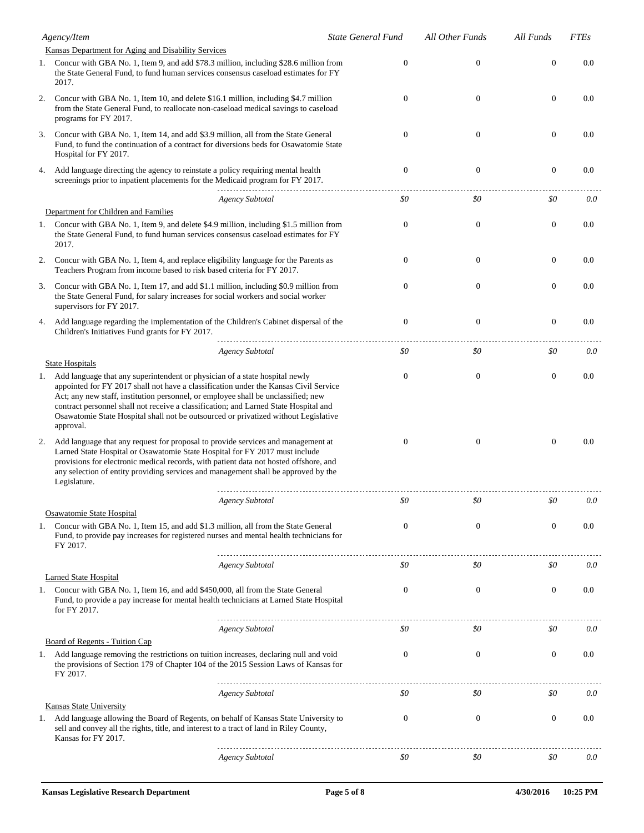|    | Agency/Item                                                                                                                                                                                                                                                                                                                                                                                                                                          | <b>State General Fund</b> | All Other Funds | All Funds      | <b>FTEs</b> |
|----|------------------------------------------------------------------------------------------------------------------------------------------------------------------------------------------------------------------------------------------------------------------------------------------------------------------------------------------------------------------------------------------------------------------------------------------------------|---------------------------|-----------------|----------------|-------------|
|    | Kansas Department for Aging and Disability Services                                                                                                                                                                                                                                                                                                                                                                                                  |                           |                 |                |             |
|    | 1. Concur with GBA No. 1, Item 9, and add \$78.3 million, including \$28.6 million from<br>the State General Fund, to fund human services consensus caseload estimates for FY<br>2017.                                                                                                                                                                                                                                                               | $\mathbf{0}$              | $\mathbf{0}$    | $\mathbf{0}$   | 0.0         |
| 2. | Concur with GBA No. 1, Item 10, and delete \$16.1 million, including \$4.7 million<br>from the State General Fund, to reallocate non-caseload medical savings to caseload<br>programs for FY 2017.                                                                                                                                                                                                                                                   | $\mathbf{0}$              | $\overline{0}$  | $\overline{0}$ | 0.0         |
| 3. | Concur with GBA No. 1, Item 14, and add \$3.9 million, all from the State General<br>Fund, to fund the continuation of a contract for diversions beds for Osawatomie State<br>Hospital for FY 2017.                                                                                                                                                                                                                                                  | $\mathbf{0}$              | $\theta$        | $\overline{0}$ | 0.0         |
| 4. | Add language directing the agency to reinstate a policy requiring mental health<br>screenings prior to inpatient placements for the Medicaid program for FY 2017.                                                                                                                                                                                                                                                                                    | $\mathbf{0}$              | $\mathbf{0}$    | $\mathbf{0}$   | 0.0         |
|    | <b>Agency Subtotal</b>                                                                                                                                                                                                                                                                                                                                                                                                                               | \$0                       | \$0             | \$0            | 0.0         |
|    | Department for Children and Families                                                                                                                                                                                                                                                                                                                                                                                                                 |                           |                 |                |             |
|    | 1. Concur with GBA No. 1, Item 9, and delete \$4.9 million, including \$1.5 million from<br>the State General Fund, to fund human services consensus caseload estimates for FY<br>2017.                                                                                                                                                                                                                                                              | $\mathbf{0}$              | $\theta$        | $\overline{0}$ | 0.0         |
| 2. | Concur with GBA No. 1, Item 4, and replace eligibility language for the Parents as<br>Teachers Program from income based to risk based criteria for FY 2017.                                                                                                                                                                                                                                                                                         | $\mathbf{0}$              | $\theta$        | $\theta$       | 0.0         |
| 3. | Concur with GBA No. 1, Item 17, and add \$1.1 million, including \$0.9 million from<br>the State General Fund, for salary increases for social workers and social worker<br>supervisors for FY 2017.                                                                                                                                                                                                                                                 | $\mathbf{0}$              | $\theta$        | $\overline{0}$ | 0.0         |
| 4. | Add language regarding the implementation of the Children's Cabinet dispersal of the<br>Children's Initiatives Fund grants for FY 2017.                                                                                                                                                                                                                                                                                                              | $\mathbf{0}$              | $\mathbf{0}$    | $\mathbf{0}$   | 0.0         |
|    | <b>Agency Subtotal</b>                                                                                                                                                                                                                                                                                                                                                                                                                               | \$0                       | \$0             | \$0            | 0.0         |
|    | <b>State Hospitals</b>                                                                                                                                                                                                                                                                                                                                                                                                                               |                           |                 |                |             |
| 1. | Add language that any superintendent or physician of a state hospital newly<br>appointed for FY 2017 shall not have a classification under the Kansas Civil Service<br>Act; any new staff, institution personnel, or employee shall be unclassified; new<br>contract personnel shall not receive a classification; and Larned State Hospital and<br>Osawatomie State Hospital shall not be outsourced or privatized without Legislative<br>approval. | $\mathbf{0}$              | $\theta$        | $\overline{0}$ | 0.0         |
| 2. | Add language that any request for proposal to provide services and management at<br>Larned State Hospital or Osawatomie State Hospital for FY 2017 must include<br>provisions for electronic medical records, with patient data not hosted offshore, and<br>any selection of entity providing services and management shall be approved by the<br>Legislature.                                                                                       | $\Omega$                  | $\theta$        | $\theta$       | 0.0         |
|    | Agency Subtotal                                                                                                                                                                                                                                                                                                                                                                                                                                      | \$0                       | 80              | \$0            | 0.0         |
|    | Osawatomie State Hospital                                                                                                                                                                                                                                                                                                                                                                                                                            |                           |                 |                |             |
| 1. | Concur with GBA No. 1, Item 15, and add \$1.3 million, all from the State General<br>Fund, to provide pay increases for registered nurses and mental health technicians for<br>FY 2017.                                                                                                                                                                                                                                                              | $\mathbf{0}$              | $\mathbf{0}$    | $\overline{0}$ | 0.0         |
|    | Agency Subtotal                                                                                                                                                                                                                                                                                                                                                                                                                                      | \$0                       | \$0             | \$0            | 0.0         |
|    | <b>Larned State Hospital</b>                                                                                                                                                                                                                                                                                                                                                                                                                         |                           |                 |                |             |
|    | 1. Concur with GBA No. 1, Item 16, and add \$450,000, all from the State General<br>Fund, to provide a pay increase for mental health technicians at Larned State Hospital<br>for FY 2017.                                                                                                                                                                                                                                                           | 0                         | $\mathbf{0}$    | $\mathbf{0}$   | 0.0         |
|    | <b>Agency Subtotal</b>                                                                                                                                                                                                                                                                                                                                                                                                                               | \$0                       | \$0             | \$0            | 0.0         |
|    | <b>Board of Regents - Tuition Cap</b>                                                                                                                                                                                                                                                                                                                                                                                                                |                           |                 |                |             |
|    | 1. Add language removing the restrictions on tuition increases, declaring null and void<br>the provisions of Section 179 of Chapter 104 of the 2015 Session Laws of Kansas for<br>FY 2017.                                                                                                                                                                                                                                                           | $\boldsymbol{0}$          | $\mathbf{0}$    | $\mathbf{0}$   | 0.0         |
|    | <b>Agency Subtotal</b>                                                                                                                                                                                                                                                                                                                                                                                                                               | \$0                       | \$0             | \$0            | 0.0         |
|    | <b>Kansas State University</b>                                                                                                                                                                                                                                                                                                                                                                                                                       |                           |                 |                |             |
| 1. | Add language allowing the Board of Regents, on behalf of Kansas State University to<br>sell and convey all the rights, title, and interest to a tract of land in Riley County,<br>Kansas for FY 2017.                                                                                                                                                                                                                                                | $\boldsymbol{0}$          | $\mathbf{0}$    | $\mathbf{0}$   | 0.0         |
|    | <b>Agency Subtotal</b>                                                                                                                                                                                                                                                                                                                                                                                                                               | \$0                       | \$0             | \$0            | 0.0         |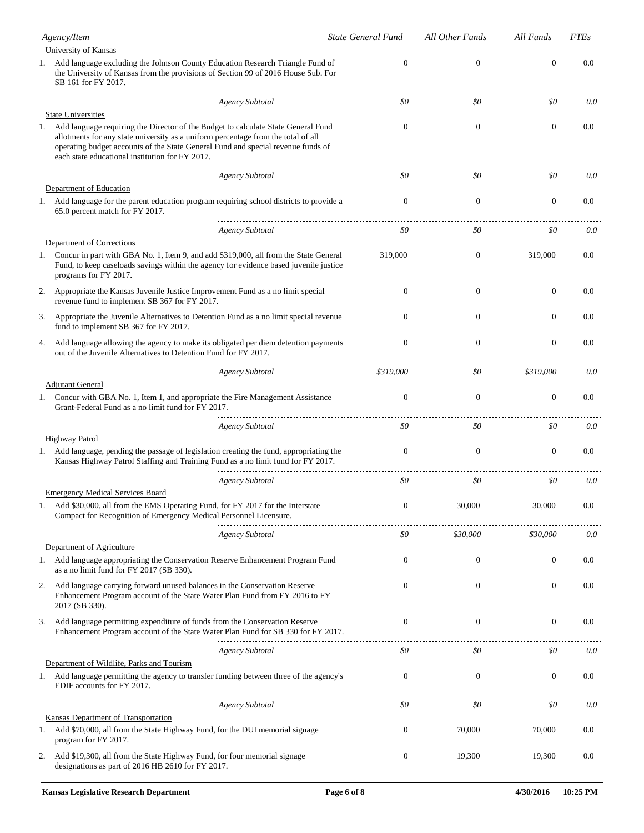|    | Agency/Item                                                                                                                                                                                                                                                                                                   | <b>State General Fund</b> | All Other Funds  | All Funds      | <b>FTEs</b> |
|----|---------------------------------------------------------------------------------------------------------------------------------------------------------------------------------------------------------------------------------------------------------------------------------------------------------------|---------------------------|------------------|----------------|-------------|
|    | <b>University of Kansas</b>                                                                                                                                                                                                                                                                                   |                           |                  |                |             |
|    | 1. Add language excluding the Johnson County Education Research Triangle Fund of<br>the University of Kansas from the provisions of Section 99 of 2016 House Sub. For<br>SB 161 for FY 2017.                                                                                                                  | $\mathbf{0}$              | $\boldsymbol{0}$ | $\overline{0}$ | 0.0         |
|    | <b>Agency Subtotal</b>                                                                                                                                                                                                                                                                                        | \$0                       | \$0              | \$0            | 0.0         |
|    | <b>State Universities</b>                                                                                                                                                                                                                                                                                     |                           |                  |                |             |
| 1. | Add language requiring the Director of the Budget to calculate State General Fund<br>allotments for any state university as a uniform percentage from the total of all<br>operating budget accounts of the State General Fund and special revenue funds of<br>each state educational institution for FY 2017. | $\Omega$                  | $\mathbf{0}$     | $\theta$       | 0.0         |
|    | <b>Agency Subtotal</b>                                                                                                                                                                                                                                                                                        | \$0                       | \$0              | \$0            | 0.0         |
|    | Department of Education                                                                                                                                                                                                                                                                                       |                           |                  |                |             |
| 1. | Add language for the parent education program requiring school districts to provide a<br>65.0 percent match for FY 2017.                                                                                                                                                                                      | $\mathbf{0}$              | $\boldsymbol{0}$ | $\theta$       | 0.0         |
|    | <b>Agency Subtotal</b>                                                                                                                                                                                                                                                                                        | \$0                       | \$0              | \$0            | 0.0         |
|    | Department of Corrections                                                                                                                                                                                                                                                                                     |                           |                  |                |             |
|    | 1. Concur in part with GBA No. 1, Item 9, and add \$319,000, all from the State General<br>Fund, to keep caseloads savings within the agency for evidence based juvenile justice<br>programs for FY 2017.                                                                                                     | 319,000                   | $\boldsymbol{0}$ | 319,000        | $0.0\,$     |
| 2. | Appropriate the Kansas Juvenile Justice Improvement Fund as a no limit special<br>revenue fund to implement SB 367 for FY 2017.                                                                                                                                                                               | $\Omega$                  | $\mathbf{0}$     | $\theta$       | 0.0         |
| 3. | Appropriate the Juvenile Alternatives to Detention Fund as a no limit special revenue<br>fund to implement SB 367 for FY 2017.                                                                                                                                                                                | $\Omega$                  | $\Omega$         | $\Omega$       | 0.0         |
| 4. | Add language allowing the agency to make its obligated per diem detention payments<br>out of the Juvenile Alternatives to Detention Fund for FY 2017.                                                                                                                                                         | $\boldsymbol{0}$          | $\boldsymbol{0}$ | $\theta$       | 0.0         |
|    | <b>Agency Subtotal</b><br><b>Adjutant General</b>                                                                                                                                                                                                                                                             | \$319,000                 | \$0              | \$319,000      | 0.0         |
|    | 1. Concur with GBA No. 1, Item 1, and appropriate the Fire Management Assistance<br>Grant-Federal Fund as a no limit fund for FY 2017.                                                                                                                                                                        | $\mathbf{0}$              | $\boldsymbol{0}$ | $\mathbf{0}$   | 0.0         |
|    | Agency Subtotal                                                                                                                                                                                                                                                                                               | \$0                       | \$0              | \$0            | 0.0         |
|    | <b>Highway Patrol</b>                                                                                                                                                                                                                                                                                         |                           |                  |                |             |
|    | 1. Add language, pending the passage of legislation creating the fund, appropriating the<br>Kansas Highway Patrol Staffing and Training Fund as a no limit fund for FY 2017.                                                                                                                                  | $\Omega$                  | $\mathbf{0}$     | $\theta$       | 0.0         |
|    | <b>Agency Subtotal</b><br><b>Emergency Medical Services Board</b>                                                                                                                                                                                                                                             | \$0                       | \$0              | \$0            | 0.0         |
| 1. | Add \$30,000, all from the EMS Operating Fund, for FY 2017 for the Interstate<br>Compact for Recognition of Emergency Medical Personnel Licensure.                                                                                                                                                            | $\boldsymbol{0}$          | 30,000           | 30,000         | 0.0         |
|    | <b>Agency Subtotal</b>                                                                                                                                                                                                                                                                                        | \$0                       | \$30,000         | \$30,000       | 0.0         |
|    | Department of Agriculture                                                                                                                                                                                                                                                                                     |                           |                  |                |             |
|    | 1. Add language appropriating the Conservation Reserve Enhancement Program Fund<br>as a no limit fund for FY 2017 (SB 330).                                                                                                                                                                                   | $\mathbf{0}$              | $\boldsymbol{0}$ | $\mathbf{0}$   | $0.0\,$     |
| 2. | Add language carrying forward unused balances in the Conservation Reserve<br>Enhancement Program account of the State Water Plan Fund from FY 2016 to FY<br>2017 (SB 330).                                                                                                                                    | $\mathbf{0}$              | $\boldsymbol{0}$ | $\theta$       | $0.0\,$     |
| 3. | Add language permitting expenditure of funds from the Conservation Reserve<br>Enhancement Program account of the State Water Plan Fund for SB 330 for FY 2017.                                                                                                                                                | $\mathbf{0}$              | $\boldsymbol{0}$ | $\theta$       | $0.0\,$     |
|    | <b>Agency Subtotal</b>                                                                                                                                                                                                                                                                                        | \$0                       | \$0              | \$0            | 0.0         |
|    | Department of Wildlife, Parks and Tourism                                                                                                                                                                                                                                                                     |                           |                  |                |             |
|    | 1. Add language permitting the agency to transfer funding between three of the agency's<br>EDIF accounts for FY 2017.                                                                                                                                                                                         | $\mathbf{0}$              | $\boldsymbol{0}$ | $\theta$       | $0.0\,$     |
|    | <b>Agency Subtotal</b>                                                                                                                                                                                                                                                                                        | \$0                       | \$0              | \$0            | 0.0         |
|    | <b>Kansas Department of Transportation</b>                                                                                                                                                                                                                                                                    |                           |                  |                |             |
|    | 1. Add \$70,000, all from the State Highway Fund, for the DUI memorial signage<br>program for FY 2017.                                                                                                                                                                                                        | $\boldsymbol{0}$          | 70,000           | 70,000         | $0.0\,$     |
| 2. | Add \$19,300, all from the State Highway Fund, for four memorial signage<br>designations as part of 2016 HB 2610 for FY 2017.                                                                                                                                                                                 | $\boldsymbol{0}$          | 19,300           | 19,300         | $0.0\,$     |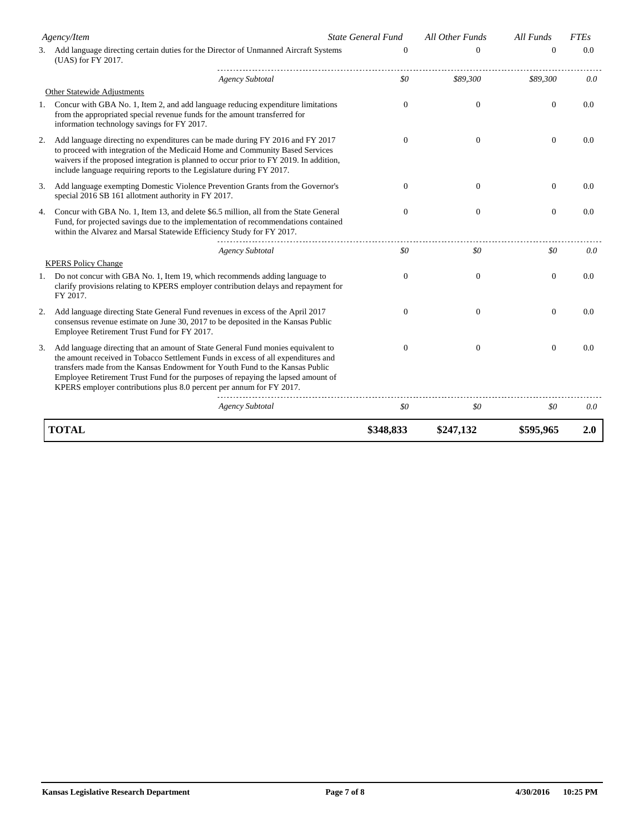| Agency/Item |                                                                                                                                                                                                                                                                                                                                                                                                                   | <b>State General Fund</b> | All Other Funds | All Funds        | <b>FTEs</b>   |
|-------------|-------------------------------------------------------------------------------------------------------------------------------------------------------------------------------------------------------------------------------------------------------------------------------------------------------------------------------------------------------------------------------------------------------------------|---------------------------|-----------------|------------------|---------------|
|             | 3. Add language directing certain duties for the Director of Unmanned Aircraft Systems<br>(UAS) for FY 2017.                                                                                                                                                                                                                                                                                                      | $\theta$                  | $\Omega$        | $\theta$         | $0.0^{\circ}$ |
|             | <b>Agency Subtotal</b>                                                                                                                                                                                                                                                                                                                                                                                            | \$0                       | \$89,300        | \$89,300         | 0.0           |
|             | Other Statewide Adjustments                                                                                                                                                                                                                                                                                                                                                                                       |                           |                 |                  |               |
| 1.          | Concur with GBA No. 1, Item 2, and add language reducing expenditure limitations<br>from the appropriated special revenue funds for the amount transferred for<br>information technology savings for FY 2017.                                                                                                                                                                                                     | $\Omega$                  | $\mathbf{0}$    | $\mathbf{0}$     | 0.0           |
| 2.          | Add language directing no expenditures can be made during FY 2016 and FY 2017<br>to proceed with integration of the Medicaid Home and Community Based Services<br>waivers if the proposed integration is planned to occur prior to FY 2019. In addition,<br>include language requiring reports to the Legislature during FY 2017.                                                                                 | $\Omega$                  | $\mathbf{0}$    | $\boldsymbol{0}$ | 0.0           |
| 3.          | Add language exempting Domestic Violence Prevention Grants from the Governor's<br>special 2016 SB 161 allotment authority in FY 2017.                                                                                                                                                                                                                                                                             | $\Omega$                  | $\mathbf{0}$    | $\mathbf{0}$     | 0.0           |
| 4.          | Concur with GBA No. 1, Item 13, and delete \$6.5 million, all from the State General<br>Fund, for projected savings due to the implementation of recommendations contained<br>within the Alvarez and Marsal Statewide Efficiency Study for FY 2017.                                                                                                                                                               | $\Omega$                  | $\mathbf{0}$    | $\mathbf{0}$     | 0.0           |
|             | <b>Agency Subtotal</b>                                                                                                                                                                                                                                                                                                                                                                                            | \$0                       | \$0             | \$0              | 0.0           |
|             | <b>KPERS Policy Change</b>                                                                                                                                                                                                                                                                                                                                                                                        |                           |                 |                  |               |
| 1.          | Do not concur with GBA No. 1, Item 19, which recommends adding language to<br>clarify provisions relating to KPERS employer contribution delays and repayment for<br>FY 2017.                                                                                                                                                                                                                                     | $\theta$                  | $\mathbf{0}$    | $\mathbf{0}$     | 0.0           |
| 2.          | Add language directing State General Fund revenues in excess of the April 2017<br>consensus revenue estimate on June 30, 2017 to be deposited in the Kansas Public<br>Employee Retirement Trust Fund for FY 2017.                                                                                                                                                                                                 | $\Omega$                  | $\mathbf{0}$    | $\mathbf{0}$     | 0.0           |
| 3.          | Add language directing that an amount of State General Fund monies equivalent to<br>the amount received in Tobacco Settlement Funds in excess of all expenditures and<br>transfers made from the Kansas Endowment for Youth Fund to the Kansas Public<br>Employee Retirement Trust Fund for the purposes of repaying the lapsed amount of<br>KPERS employer contributions plus 8.0 percent per annum for FY 2017. | $\theta$                  | $\overline{0}$  | $\boldsymbol{0}$ | 0.0           |
|             | <b>Agency Subtotal</b>                                                                                                                                                                                                                                                                                                                                                                                            | \$0                       | \$0             | \$0              | 0.0           |
|             | <b>TOTAL</b>                                                                                                                                                                                                                                                                                                                                                                                                      | \$348,833                 | \$247,132       | \$595,965        | 2.0           |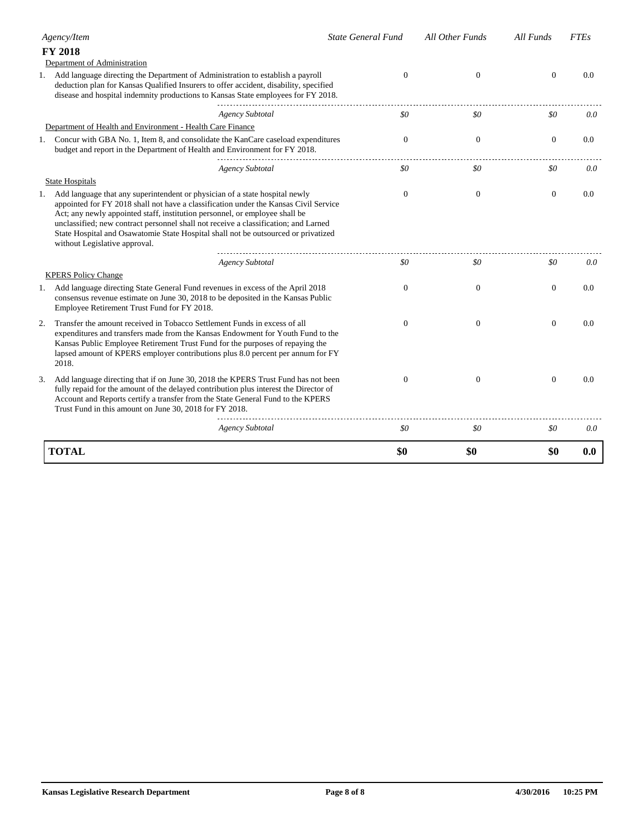|    | Agency/Item                                                                                                                                                                                                                                                                                                                      | <b>State General Fund</b> | All Other Funds | All Funds      | <b>FTEs</b> |
|----|----------------------------------------------------------------------------------------------------------------------------------------------------------------------------------------------------------------------------------------------------------------------------------------------------------------------------------|---------------------------|-----------------|----------------|-------------|
|    | <b>FY 2018</b>                                                                                                                                                                                                                                                                                                                   |                           |                 |                |             |
|    | Department of Administration                                                                                                                                                                                                                                                                                                     |                           |                 |                |             |
|    | 1. Add language directing the Department of Administration to establish a payroll<br>deduction plan for Kansas Qualified Insurers to offer accident, disability, specified<br>disease and hospital indemnity productions to Kansas State employees for FY 2018.                                                                  | $\theta$                  | $\mathbf{0}$    | $\mathbf{0}$   | 0.0         |
|    | <b>Agency Subtotal</b>                                                                                                                                                                                                                                                                                                           | \$0                       | \$0             | \$0            | 0.0         |
|    | Department of Health and Environment - Health Care Finance                                                                                                                                                                                                                                                                       |                           |                 |                |             |
| 1. | Concur with GBA No. 1, Item 8, and consolidate the KanCare caseload expenditures<br>budget and report in the Department of Health and Environment for FY 2018.                                                                                                                                                                   | $\theta$                  | $\mathbf{0}$    | $\mathbf{0}$   | 0.0         |
|    | <b>Agency Subtotal</b>                                                                                                                                                                                                                                                                                                           | \$0                       | \$0             | \$0            | 0.0         |
|    | <b>State Hospitals</b>                                                                                                                                                                                                                                                                                                           |                           |                 |                |             |
| 1. | Add language that any superintendent or physician of a state hospital newly<br>appointed for FY 2018 shall not have a classification under the Kansas Civil Service                                                                                                                                                              | $\Omega$                  | $\Omega$        | $\mathbf{0}$   | 0.0         |
|    | Act; any newly appointed staff, institution personnel, or employee shall be<br>unclassified; new contract personnel shall not receive a classification; and Larned                                                                                                                                                               |                           |                 |                |             |
|    | State Hospital and Osawatomie State Hospital shall not be outsourced or privatized<br>without Legislative approval.                                                                                                                                                                                                              |                           |                 |                |             |
|    | <b>Agency Subtotal</b>                                                                                                                                                                                                                                                                                                           | \$0                       | \$0             | \$0            | 0.0         |
|    | <b>KPERS Policy Change</b>                                                                                                                                                                                                                                                                                                       |                           |                 |                |             |
|    | 1. Add language directing State General Fund revenues in excess of the April 2018<br>consensus revenue estimate on June 30, 2018 to be deposited in the Kansas Public<br>Employee Retirement Trust Fund for FY 2018.                                                                                                             | $\Omega$                  | $\mathbf{0}$    | $\overline{0}$ | 0.0         |
| 2. | Transfer the amount received in Tobacco Settlement Funds in excess of all<br>expenditures and transfers made from the Kansas Endowment for Youth Fund to the<br>Kansas Public Employee Retirement Trust Fund for the purposes of repaying the<br>lapsed amount of KPERS employer contributions plus 8.0 percent per annum for FY | $\theta$                  | $\overline{0}$  | $\mathbf{0}$   | 0.0         |
|    | 2018.                                                                                                                                                                                                                                                                                                                            |                           |                 |                |             |
| 3. | Add language directing that if on June 30, 2018 the KPERS Trust Fund has not been<br>fully repaid for the amount of the delayed contribution plus interest the Director of<br>Account and Reports certify a transfer from the State General Fund to the KPERS<br>Trust Fund in this amount on June 30, 2018 for FY 2018.         | $\Omega$                  | $\mathbf{0}$    | $\mathbf{0}$   | 0.0         |
|    | <b>Agency Subtotal</b>                                                                                                                                                                                                                                                                                                           | \$0                       | \$0             | \$0            | 0.0         |
|    | <b>TOTAL</b>                                                                                                                                                                                                                                                                                                                     | \$0                       | \$0             | \$0            | 0.0         |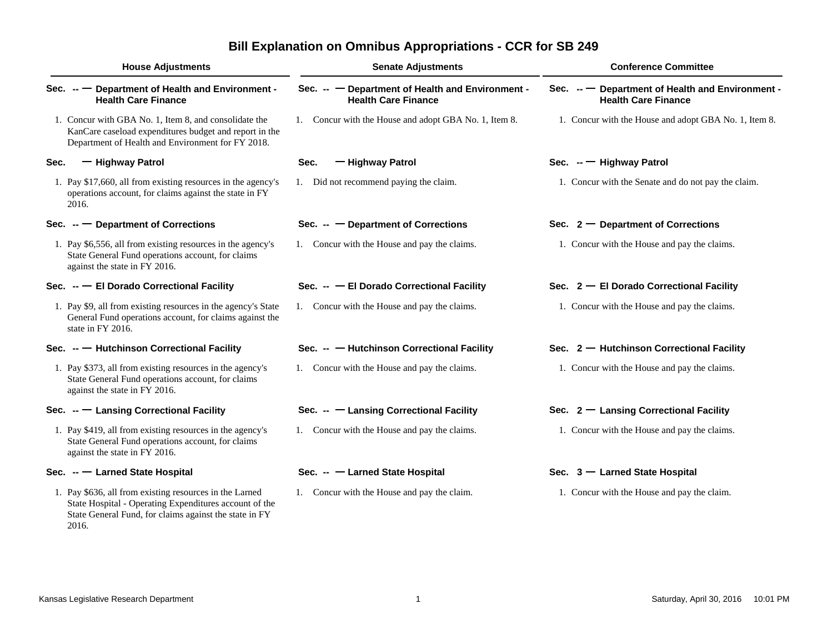# **Bill Explanation on Omnibus Appropriations - CCR for SB 249**

| <b>House Adjustments</b> |                                                                                                                                                                                      | <b>Senate Adjustments</b>                                                      | <b>Conference Committee</b>                                                  |  |  |
|--------------------------|--------------------------------------------------------------------------------------------------------------------------------------------------------------------------------------|--------------------------------------------------------------------------------|------------------------------------------------------------------------------|--|--|
|                          | Sec. -- - Department of Health and Environment -<br><b>Health Care Finance</b>                                                                                                       | Sec. -- - Department of Health and Environment -<br><b>Health Care Finance</b> | Sec. -- Department of Health and Environment -<br><b>Health Care Finance</b> |  |  |
|                          | 1. Concur with GBA No. 1, Item 8, and consolidate the<br>KanCare caseload expenditures budget and report in the<br>Department of Health and Environment for FY 2018.                 | 1. Concur with the House and adopt GBA No. 1, Item 8.                          | 1. Concur with the House and adopt GBA No. 1, Item 8.                        |  |  |
| Sec.                     | - Highway Patrol                                                                                                                                                                     | - Highway Patrol<br>Sec.                                                       | Sec. $-$ Highway Patrol                                                      |  |  |
|                          | 1. Pay \$17,660, all from existing resources in the agency's<br>operations account, for claims against the state in FY<br>2016.                                                      | 1. Did not recommend paying the claim.                                         | 1. Concur with the Senate and do not pay the claim.                          |  |  |
|                          | Sec. $-$ Department of Corrections                                                                                                                                                   | Sec. $ -$ Department of Corrections                                            | Sec. $2 -$ Department of Corrections                                         |  |  |
|                          | 1. Pay \$6,556, all from existing resources in the agency's<br>State General Fund operations account, for claims<br>against the state in FY 2016.                                    | 1. Concur with the House and pay the claims.                                   | 1. Concur with the House and pay the claims.                                 |  |  |
|                          | Sec. -- - El Dorado Correctional Facility                                                                                                                                            | Sec. -- - El Dorado Correctional Facility                                      | Sec. $2 - E1$ Dorado Correctional Facility                                   |  |  |
|                          | 1. Pay \$9, all from existing resources in the agency's State<br>General Fund operations account, for claims against the<br>state in FY 2016.                                        | 1. Concur with the House and pay the claims.                                   | 1. Concur with the House and pay the claims.                                 |  |  |
|                          | Sec. -- Hutchinson Correctional Facility                                                                                                                                             | Sec. -- Hutchinson Correctional Facility                                       | Sec. $2 -$ Hutchinson Correctional Facility                                  |  |  |
|                          | 1. Pay \$373, all from existing resources in the agency's<br>State General Fund operations account, for claims<br>against the state in FY 2016.                                      | 1. Concur with the House and pay the claims.                                   | 1. Concur with the House and pay the claims.                                 |  |  |
|                          | Sec. -- - Lansing Correctional Facility                                                                                                                                              | Sec. -- - Lansing Correctional Facility                                        | Sec. $2 -$ Lansing Correctional Facility                                     |  |  |
|                          | 1. Pay \$419, all from existing resources in the agency's<br>State General Fund operations account, for claims<br>against the state in FY 2016.                                      | 1. Concur with the House and pay the claims.                                   | 1. Concur with the House and pay the claims.                                 |  |  |
|                          | Sec. -- - Larned State Hospital                                                                                                                                                      | Sec. -- - Larned State Hospital                                                | Sec. 3 - Larned State Hospital                                               |  |  |
|                          | 1. Pay \$636, all from existing resources in the Larned<br>State Hospital - Operating Expenditures account of the<br>State General Fund, for claims against the state in FY<br>2016. | 1. Concur with the House and pay the claim.                                    | 1. Concur with the House and pay the claim.                                  |  |  |
|                          |                                                                                                                                                                                      |                                                                                |                                                                              |  |  |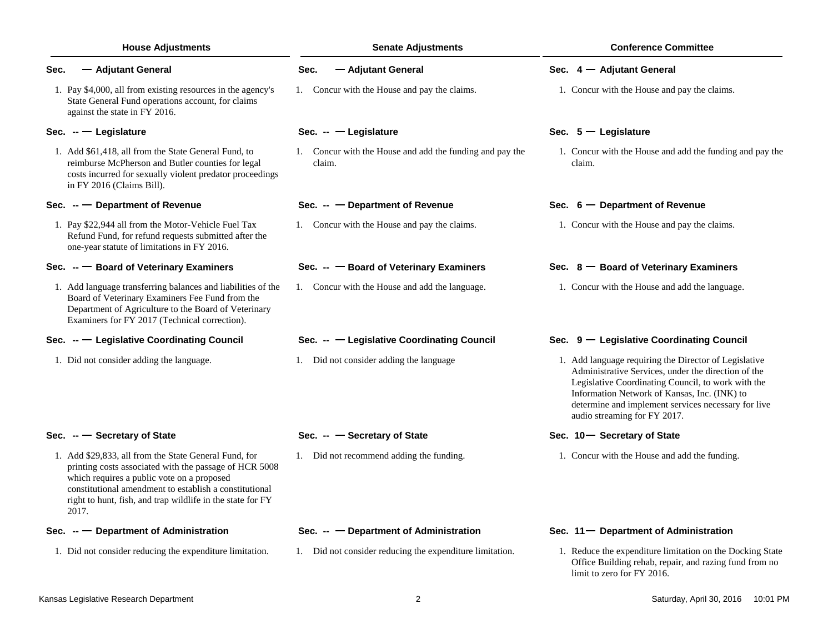| <b>House Adjustments</b>                                                                                                                                                                                                                                                                       | <b>Senate Adjustments</b>                                          | <b>Conference Committee</b>                                                                                                                                                                                                                                                                               |
|------------------------------------------------------------------------------------------------------------------------------------------------------------------------------------------------------------------------------------------------------------------------------------------------|--------------------------------------------------------------------|-----------------------------------------------------------------------------------------------------------------------------------------------------------------------------------------------------------------------------------------------------------------------------------------------------------|
| - Adjutant General<br>Sec.                                                                                                                                                                                                                                                                     | - Adjutant General<br>Sec.                                         | Sec. 4 - Adjutant General                                                                                                                                                                                                                                                                                 |
| 1. Pay \$4,000, all from existing resources in the agency's<br>State General Fund operations account, for claims<br>against the state in FY 2016.                                                                                                                                              | 1. Concur with the House and pay the claims.                       | 1. Concur with the House and pay the claims.                                                                                                                                                                                                                                                              |
| Sec. $-$ Legislature                                                                                                                                                                                                                                                                           | Sec. $-$ - Legislature                                             | Sec. $5 -$ Legislature                                                                                                                                                                                                                                                                                    |
| 1. Add \$61,418, all from the State General Fund, to<br>reimburse McPherson and Butler counties for legal<br>costs incurred for sexually violent predator proceedings<br>in FY 2016 (Claims Bill).                                                                                             | 1. Concur with the House and add the funding and pay the<br>claim. | 1. Concur with the House and add the funding and pay the<br>claim.                                                                                                                                                                                                                                        |
| Sec. $-$ Department of Revenue                                                                                                                                                                                                                                                                 | Sec. $ -$ Department of Revenue                                    | Sec. $6$ – Department of Revenue                                                                                                                                                                                                                                                                          |
| 1. Pay \$22,944 all from the Motor-Vehicle Fuel Tax<br>Refund Fund, for refund requests submitted after the<br>one-year statute of limitations in FY 2016.                                                                                                                                     | 1. Concur with the House and pay the claims.                       | 1. Concur with the House and pay the claims.                                                                                                                                                                                                                                                              |
| Sec. -- Board of Veterinary Examiners                                                                                                                                                                                                                                                          | Sec. -- - Board of Veterinary Examiners                            | Sec. 8 - Board of Veterinary Examiners                                                                                                                                                                                                                                                                    |
| 1. Add language transferring balances and liabilities of the<br>Board of Veterinary Examiners Fee Fund from the<br>Department of Agriculture to the Board of Veterinary<br>Examiners for FY 2017 (Technical correction).                                                                       | 1. Concur with the House and add the language.                     | 1. Concur with the House and add the language.                                                                                                                                                                                                                                                            |
| Sec. -- Legislative Coordinating Council                                                                                                                                                                                                                                                       | Sec. -- - Legislative Coordinating Council                         | Sec. 9 - Legislative Coordinating Council                                                                                                                                                                                                                                                                 |
| 1. Did not consider adding the language.                                                                                                                                                                                                                                                       | 1. Did not consider adding the language                            | 1. Add language requiring the Director of Legislative<br>Administrative Services, under the direction of the<br>Legislative Coordinating Council, to work with the<br>Information Network of Kansas, Inc. (INK) to<br>determine and implement services necessary for live<br>audio streaming for FY 2017. |
| Sec. $-$ Secretary of State                                                                                                                                                                                                                                                                    | Sec. $ -$ Secretary of State                                       | Sec. 10-Secretary of State                                                                                                                                                                                                                                                                                |
| 1. Add \$29,833, all from the State General Fund, for<br>printing costs associated with the passage of HCR 5008<br>which requires a public vote on a proposed<br>constitutional amendment to establish a constitutional<br>right to hunt, fish, and trap wildlife in the state for FY<br>2017. | 1. Did not recommend adding the funding.                           | 1. Concur with the House and add the funding.                                                                                                                                                                                                                                                             |
| Sec. $-$ Department of Administration                                                                                                                                                                                                                                                          | Sec. $ -$ Department of Administration                             | Sec. 11- Department of Administration                                                                                                                                                                                                                                                                     |
| 1. Did not consider reducing the expenditure limitation.                                                                                                                                                                                                                                       | 1. Did not consider reducing the expenditure limitation.           | 1. Reduce the expenditure limitation on the Docking State<br>Office Building rehab, repair, and razing fund from no                                                                                                                                                                                       |

limit to zero for FY 2016.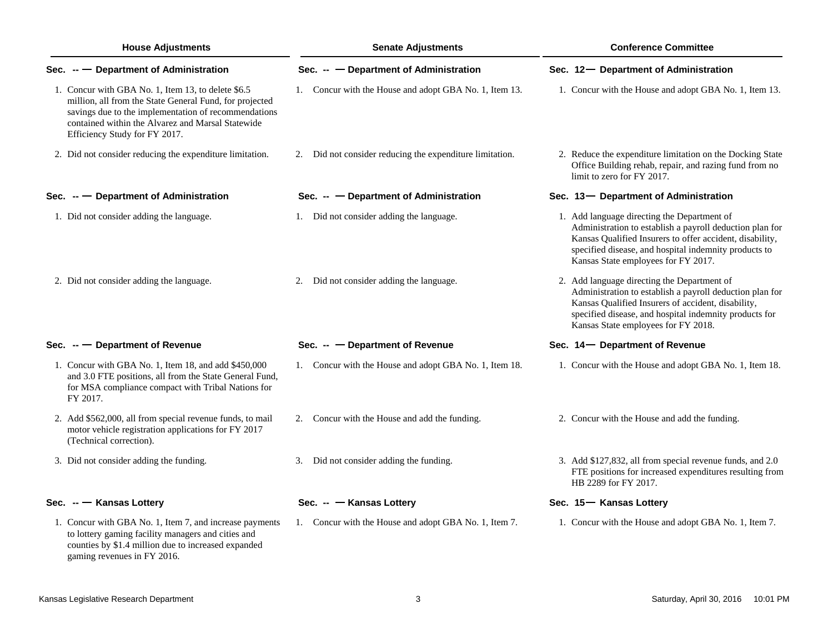| <b>House Adjustments</b>                                                                                                                                                                                                                                    | <b>Senate Adjustments</b>                                   | <b>Conference Committee</b>                                                                                                                                                                                                                                         |  |  |
|-------------------------------------------------------------------------------------------------------------------------------------------------------------------------------------------------------------------------------------------------------------|-------------------------------------------------------------|---------------------------------------------------------------------------------------------------------------------------------------------------------------------------------------------------------------------------------------------------------------------|--|--|
| Sec. $-$ Department of Administration                                                                                                                                                                                                                       | Sec. -- - Department of Administration                      | Sec. 12- Department of Administration                                                                                                                                                                                                                               |  |  |
| 1. Concur with GBA No. 1, Item 13, to delete \$6.5<br>million, all from the State General Fund, for projected<br>savings due to the implementation of recommendations<br>contained within the Alvarez and Marsal Statewide<br>Efficiency Study for FY 2017. | 1. Concur with the House and adopt GBA No. 1, Item 13.      | 1. Concur with the House and adopt GBA No. 1, Item 13.                                                                                                                                                                                                              |  |  |
| 2. Did not consider reducing the expenditure limitation.                                                                                                                                                                                                    | Did not consider reducing the expenditure limitation.<br>2. | 2. Reduce the expenditure limitation on the Docking State<br>Office Building rehab, repair, and razing fund from no<br>limit to zero for FY 2017.                                                                                                                   |  |  |
| Sec. $-$ Department of Administration                                                                                                                                                                                                                       | Sec. $ -$ Department of Administration                      | Sec. 13- Department of Administration                                                                                                                                                                                                                               |  |  |
| 1. Did not consider adding the language.                                                                                                                                                                                                                    | 1. Did not consider adding the language.                    | 1. Add language directing the Department of<br>Administration to establish a payroll deduction plan for<br>Kansas Qualified Insurers to offer accident, disability,<br>specified disease, and hospital indemnity products to<br>Kansas State employees for FY 2017. |  |  |
| 2. Did not consider adding the language.                                                                                                                                                                                                                    | 2. Did not consider adding the language.                    | 2. Add language directing the Department of<br>Administration to establish a payroll deduction plan for<br>Kansas Qualified Insurers of accident, disability,<br>specified disease, and hospital indemnity products for<br>Kansas State employees for FY 2018.      |  |  |
| Sec. $-$ Department of Revenue                                                                                                                                                                                                                              | Sec. $ -$ Department of Revenue                             | Sec. 14 – Department of Revenue                                                                                                                                                                                                                                     |  |  |
| 1. Concur with GBA No. 1, Item 18, and add \$450,000<br>and 3.0 FTE positions, all from the State General Fund,<br>for MSA compliance compact with Tribal Nations for<br>FY 2017.                                                                           | 1. Concur with the House and adopt GBA No. 1, Item 18.      | 1. Concur with the House and adopt GBA No. 1, Item 18.                                                                                                                                                                                                              |  |  |
| 2. Add \$562,000, all from special revenue funds, to mail<br>motor vehicle registration applications for FY 2017<br>(Technical correction).                                                                                                                 | Concur with the House and add the funding.<br>2.            | 2. Concur with the House and add the funding.                                                                                                                                                                                                                       |  |  |
| 3. Did not consider adding the funding.                                                                                                                                                                                                                     | 3. Did not consider adding the funding.                     | 3. Add \$127,832, all from special revenue funds, and 2.0<br>FTE positions for increased expenditures resulting from<br>HB 2289 for FY 2017.                                                                                                                        |  |  |
| Sec. -- Kansas Lottery                                                                                                                                                                                                                                      | Sec. -- Kansas Lottery                                      | Sec. 15 <sup>-</sup> Kansas Lottery                                                                                                                                                                                                                                 |  |  |
| 1. Concur with GBA No. 1, Item 7, and increase payments                                                                                                                                                                                                     | 1. Concur with the House and adopt GBA No. 1, Item 7.       | 1. Concur with the House and adopt GBA No. 1, Item 7.                                                                                                                                                                                                               |  |  |

gaming revenues in FY 2016.

to lottery gaming facility managers and cities and counties by \$1.4 million due to increased expanded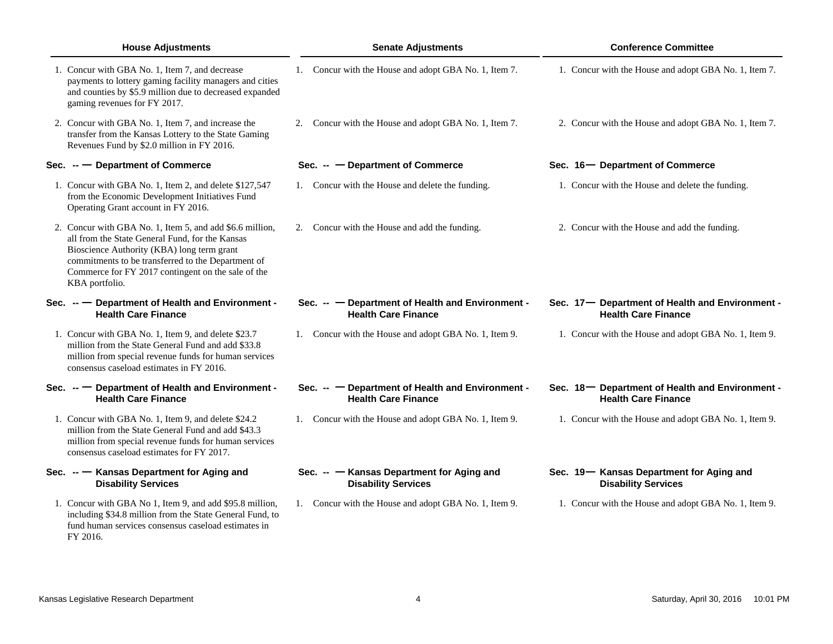| <b>House Adjustments</b>                                                                                                                                                                                                                                                                | <b>Senate Adjustments</b>                                                      | <b>Conference Committee</b>                                                    |  |  |
|-----------------------------------------------------------------------------------------------------------------------------------------------------------------------------------------------------------------------------------------------------------------------------------------|--------------------------------------------------------------------------------|--------------------------------------------------------------------------------|--|--|
| 1. Concur with GBA No. 1, Item 7, and decrease<br>payments to lottery gaming facility managers and cities<br>and counties by \$5.9 million due to decreased expanded<br>gaming revenues for FY 2017.                                                                                    | 1. Concur with the House and adopt GBA No. 1, Item 7.                          | 1. Concur with the House and adopt GBA No. 1, Item 7.                          |  |  |
| 2. Concur with GBA No. 1, Item 7, and increase the<br>transfer from the Kansas Lottery to the State Gaming<br>Revenues Fund by \$2.0 million in FY 2016.                                                                                                                                | 2. Concur with the House and adopt GBA No. 1, Item 7.                          | 2. Concur with the House and adopt GBA No. 1, Item 7.                          |  |  |
| Sec. $-$ Department of Commerce                                                                                                                                                                                                                                                         | - Department of Commerce<br>$Sec. -$                                           | Sec. 16 - Department of Commerce                                               |  |  |
| 1. Concur with GBA No. 1, Item 2, and delete \$127,547<br>from the Economic Development Initiatives Fund<br>Operating Grant account in FY 2016.                                                                                                                                         | 1. Concur with the House and delete the funding.                               | 1. Concur with the House and delete the funding.                               |  |  |
| 2. Concur with GBA No. 1, Item 5, and add \$6.6 million,<br>all from the State General Fund, for the Kansas<br>Bioscience Authority (KBA) long term grant<br>commitments to be transferred to the Department of<br>Commerce for FY 2017 contingent on the sale of the<br>KBA portfolio. | 2. Concur with the House and add the funding.                                  | 2. Concur with the House and add the funding.                                  |  |  |
| Sec. -- Department of Health and Environment -<br><b>Health Care Finance</b>                                                                                                                                                                                                            | Sec. -- - Department of Health and Environment -<br><b>Health Care Finance</b> | Sec. 17- Department of Health and Environment -<br><b>Health Care Finance</b>  |  |  |
| 1. Concur with GBA No. 1, Item 9, and delete \$23.7<br>million from the State General Fund and add \$33.8<br>million from special revenue funds for human services<br>consensus caseload estimates in FY 2016.                                                                          | 1. Concur with the House and adopt GBA No. 1, Item 9.                          | 1. Concur with the House and adopt GBA No. 1, Item 9.                          |  |  |
| Sec. -- Department of Health and Environment -<br><b>Health Care Finance</b>                                                                                                                                                                                                            | Sec. -- - Department of Health and Environment -<br><b>Health Care Finance</b> | Sec. 18 - Department of Health and Environment -<br><b>Health Care Finance</b> |  |  |
| 1. Concur with GBA No. 1, Item 9, and delete \$24.2<br>million from the State General Fund and add \$43.3<br>million from special revenue funds for human services<br>consensus caseload estimates for FY 2017.                                                                         | 1. Concur with the House and adopt GBA No. 1, Item 9.                          | 1. Concur with the House and adopt GBA No. 1, Item 9.                          |  |  |
| Sec. -- Kansas Department for Aging and<br><b>Disability Services</b>                                                                                                                                                                                                                   | Sec. -- Kansas Department for Aging and<br><b>Disability Services</b>          | Sec. 19- Kansas Department for Aging and<br><b>Disability Services</b>         |  |  |
| 1. Concur with GBA No 1, Item 9, and add \$95.8 million,<br>including \$34.8 million from the State General Fund, to<br>fund human services consensus caseload estimates in                                                                                                             | 1. Concur with the House and adopt GBA No. 1, Item 9.                          | 1. Concur with the House and adopt GBA No. 1, Item 9.                          |  |  |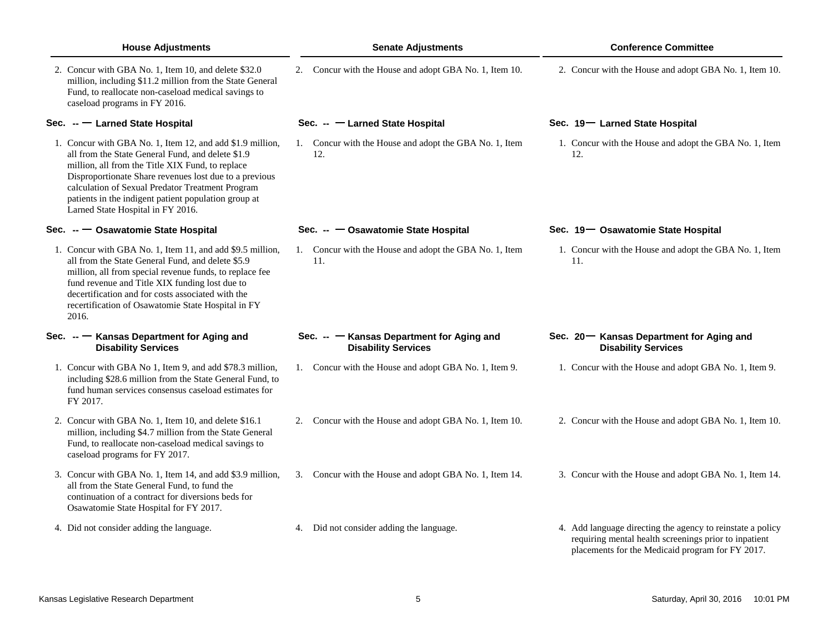| <b>House Adjustments</b>                                                                                                                                                                                                                                                                                                                                                      | <b>Senate Adjustments</b>                                               | <b>Conference Committee</b>                                                                                                                                             |  |  |
|-------------------------------------------------------------------------------------------------------------------------------------------------------------------------------------------------------------------------------------------------------------------------------------------------------------------------------------------------------------------------------|-------------------------------------------------------------------------|-------------------------------------------------------------------------------------------------------------------------------------------------------------------------|--|--|
| 2. Concur with GBA No. 1, Item 10, and delete \$32.0<br>million, including \$11.2 million from the State General<br>Fund, to reallocate non-caseload medical savings to<br>caseload programs in FY 2016.                                                                                                                                                                      | 2. Concur with the House and adopt GBA No. 1, Item 10.                  | 2. Concur with the House and adopt GBA No. 1, Item 10.                                                                                                                  |  |  |
| Sec. -- Larned State Hospital                                                                                                                                                                                                                                                                                                                                                 | Sec. -- - Larned State Hospital                                         | Sec. 19- Larned State Hospital                                                                                                                                          |  |  |
| 1. Concur with GBA No. 1, Item 12, and add \$1.9 million,<br>all from the State General Fund, and delete \$1.9<br>million, all from the Title XIX Fund, to replace<br>Disproportionate Share revenues lost due to a previous<br>calculation of Sexual Predator Treatment Program<br>patients in the indigent patient population group at<br>Larned State Hospital in FY 2016. | 1. Concur with the House and adopt the GBA No. 1, Item<br>12.           | 1. Concur with the House and adopt the GBA No. 1, Item<br>12.                                                                                                           |  |  |
| Sec. -- Osawatomie State Hospital                                                                                                                                                                                                                                                                                                                                             | Sec. -- Csawatomie State Hospital                                       | Sec. 19- Osawatomie State Hospital                                                                                                                                      |  |  |
| 1. Concur with GBA No. 1, Item 11, and add \$9.5 million,<br>all from the State General Fund, and delete \$5.9<br>million, all from special revenue funds, to replace fee<br>fund revenue and Title XIX funding lost due to<br>decertification and for costs associated with the<br>recertification of Osawatomie State Hospital in FY<br>2016.                               | 1. Concur with the House and adopt the GBA No. 1, Item<br>11.           | 1. Concur with the House and adopt the GBA No. 1, Item<br>11.                                                                                                           |  |  |
| Sec. -- T Kansas Department for Aging and<br><b>Disability Services</b>                                                                                                                                                                                                                                                                                                       | Sec. -- - Kansas Department for Aging and<br><b>Disability Services</b> | Sec. 20 – Kansas Department for Aging and<br><b>Disability Services</b>                                                                                                 |  |  |
| 1. Concur with GBA No 1, Item 9, and add \$78.3 million,<br>including \$28.6 million from the State General Fund, to<br>fund human services consensus caseload estimates for<br>FY 2017.                                                                                                                                                                                      | 1. Concur with the House and adopt GBA No. 1, Item 9.                   | 1. Concur with the House and adopt GBA No. 1, Item 9.                                                                                                                   |  |  |
| 2. Concur with GBA No. 1, Item 10, and delete \$16.1<br>million, including \$4.7 million from the State General<br>Fund, to reallocate non-caseload medical savings to<br>caseload programs for FY 2017.                                                                                                                                                                      | 2. Concur with the House and adopt GBA No. 1, Item 10.                  | 2. Concur with the House and adopt GBA No. 1, Item 10.                                                                                                                  |  |  |
| 3. Concur with GBA No. 1, Item 14, and add \$3.9 million,<br>all from the State General Fund, to fund the<br>continuation of a contract for diversions beds for<br>Osawatomie State Hospital for FY 2017.                                                                                                                                                                     | 3. Concur with the House and adopt GBA No. 1, Item 14.                  | 3. Concur with the House and adopt GBA No. 1, Item 14.                                                                                                                  |  |  |
| 4. Did not consider adding the language.                                                                                                                                                                                                                                                                                                                                      | 4. Did not consider adding the language.                                | 4. Add language directing the agency to reinstate a policy<br>requiring mental health screenings prior to inpatient<br>placements for the Medicaid program for FY 2017. |  |  |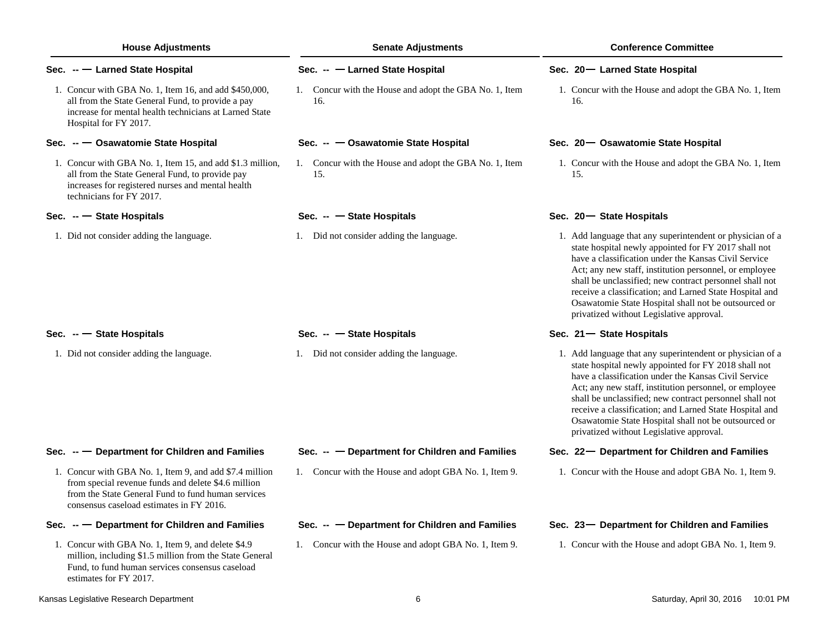| <b>House Adjustments</b>      |                                                                                                                                                                                                                  | <b>Senate Adjustments</b>                                     | <b>Conference Committee</b>                                                                                                                                                                                                                                                                                                                                                                                                                                   |  |  |
|-------------------------------|------------------------------------------------------------------------------------------------------------------------------------------------------------------------------------------------------------------|---------------------------------------------------------------|---------------------------------------------------------------------------------------------------------------------------------------------------------------------------------------------------------------------------------------------------------------------------------------------------------------------------------------------------------------------------------------------------------------------------------------------------------------|--|--|
| Sec. -- Larned State Hospital |                                                                                                                                                                                                                  | Sec. -- - Larned State Hospital                               | Sec. 20 - Larned State Hospital                                                                                                                                                                                                                                                                                                                                                                                                                               |  |  |
|                               | 1. Concur with GBA No. 1, Item 16, and add \$450,000,<br>all from the State General Fund, to provide a pay<br>increase for mental health technicians at Larned State<br>Hospital for FY 2017.                    | 1. Concur with the House and adopt the GBA No. 1, Item<br>16. | 1. Concur with the House and adopt the GBA No. 1, Item<br>16.                                                                                                                                                                                                                                                                                                                                                                                                 |  |  |
|                               | Sec. -- Osawatomie State Hospital                                                                                                                                                                                | Sec. -- Osawatomie State Hospital                             | Sec. 20 - Osawatomie State Hospital                                                                                                                                                                                                                                                                                                                                                                                                                           |  |  |
|                               | 1. Concur with GBA No. 1, Item 15, and add \$1.3 million,<br>all from the State General Fund, to provide pay<br>increases for registered nurses and mental health<br>technicians for FY 2017.                    | 1. Concur with the House and adopt the GBA No. 1, Item<br>15. | 1. Concur with the House and adopt the GBA No. 1, Item<br>15.                                                                                                                                                                                                                                                                                                                                                                                                 |  |  |
|                               | Sec. $-$ State Hospitals                                                                                                                                                                                         | Sec. $ -$ State Hospitals                                     | Sec. 20 - State Hospitals                                                                                                                                                                                                                                                                                                                                                                                                                                     |  |  |
|                               | 1. Did not consider adding the language.                                                                                                                                                                         | 1. Did not consider adding the language.                      | 1. Add language that any superintendent or physician of a<br>state hospital newly appointed for FY 2017 shall not<br>have a classification under the Kansas Civil Service<br>Act; any new staff, institution personnel, or employee<br>shall be unclassified; new contract personnel shall not<br>receive a classification; and Larned State Hospital and<br>Osawatomie State Hospital shall not be outsourced or<br>privatized without Legislative approval. |  |  |
|                               | Sec. $-$ State Hospitals                                                                                                                                                                                         | Sec. $ -$ State Hospitals                                     | Sec. 21 - State Hospitals                                                                                                                                                                                                                                                                                                                                                                                                                                     |  |  |
|                               | 1. Did not consider adding the language.                                                                                                                                                                         | 1. Did not consider adding the language.                      | 1. Add language that any superintendent or physician of a<br>state hospital newly appointed for FY 2018 shall not<br>have a classification under the Kansas Civil Service<br>Act; any new staff, institution personnel, or employee<br>shall be unclassified; new contract personnel shall not<br>receive a classification; and Larned State Hospital and<br>Osawatomie State Hospital shall not be outsourced or<br>privatized without Legislative approval. |  |  |
|                               | Sec. -- Department for Children and Families                                                                                                                                                                     | Sec. -- - Department for Children and Families                | Sec. 22 - Department for Children and Families                                                                                                                                                                                                                                                                                                                                                                                                                |  |  |
|                               | 1. Concur with GBA No. 1, Item 9, and add \$7.4 million<br>from special revenue funds and delete \$4.6 million<br>from the State General Fund to fund human services<br>consensus caseload estimates in FY 2016. | 1. Concur with the House and adopt GBA No. 1, Item 9.         | 1. Concur with the House and adopt GBA No. 1, Item 9.                                                                                                                                                                                                                                                                                                                                                                                                         |  |  |
|                               | Sec. $-$ Department for Children and Families                                                                                                                                                                    | Sec. -- - Department for Children and Families                | Sec. 23- Department for Children and Families                                                                                                                                                                                                                                                                                                                                                                                                                 |  |  |
|                               | 1. Concur with GBA No. 1, Item 9, and delete \$4.9<br>million, including \$1.5 million from the State General<br>Fund, to fund human services consensus caseload<br>estimates for FY 2017.                       | 1. Concur with the House and adopt GBA No. 1, Item 9.         | 1. Concur with the House and adopt GBA No. 1, Item 9.                                                                                                                                                                                                                                                                                                                                                                                                         |  |  |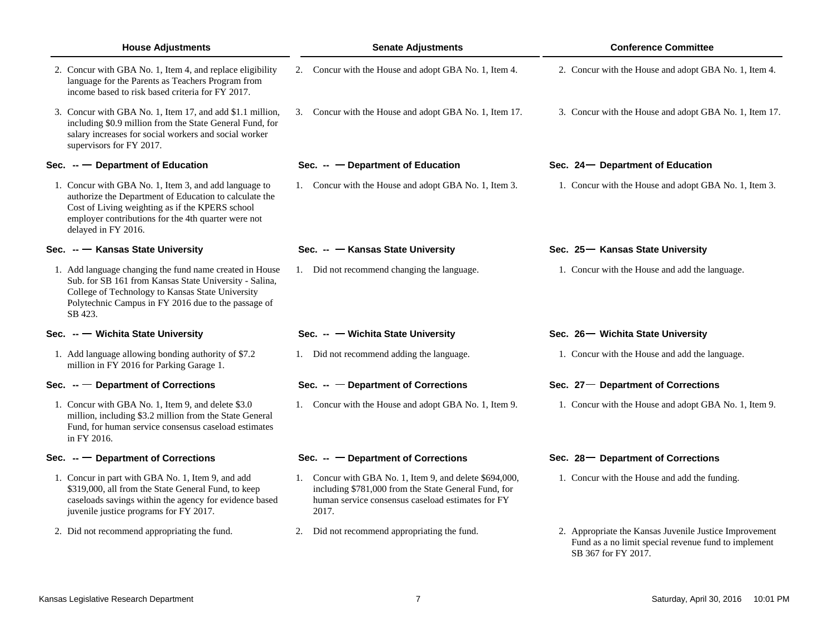| <b>House Adjustments</b>                                                                                                                                                                                                                         | <b>Senate Adjustments</b>                                                                                                                                                     | <b>Conference Committee</b>                                                                                                           |  |  |
|--------------------------------------------------------------------------------------------------------------------------------------------------------------------------------------------------------------------------------------------------|-------------------------------------------------------------------------------------------------------------------------------------------------------------------------------|---------------------------------------------------------------------------------------------------------------------------------------|--|--|
| 2. Concur with GBA No. 1, Item 4, and replace eligibility<br>language for the Parents as Teachers Program from<br>income based to risk based criteria for FY 2017.                                                                               | 2. Concur with the House and adopt GBA No. 1, Item 4.                                                                                                                         | 2. Concur with the House and adopt GBA No. 1, Item 4.                                                                                 |  |  |
| 3. Concur with GBA No. 1, Item 17, and add \$1.1 million,<br>including \$0.9 million from the State General Fund, for<br>salary increases for social workers and social worker<br>supervisors for FY 2017.                                       | 3. Concur with the House and adopt GBA No. 1, Item 17.                                                                                                                        | 3. Concur with the House and adopt GBA No. 1, Item 17.                                                                                |  |  |
| Sec. $-$ Department of Education                                                                                                                                                                                                                 | - Department of Education<br>Sec. --                                                                                                                                          | Sec. 24 – Department of Education                                                                                                     |  |  |
| 1. Concur with GBA No. 1, Item 3, and add language to<br>authorize the Department of Education to calculate the<br>Cost of Living weighting as if the KPERS school<br>employer contributions for the 4th quarter were not<br>delayed in FY 2016. | 1. Concur with the House and adopt GBA No. 1, Item 3.                                                                                                                         | 1. Concur with the House and adopt GBA No. 1, Item 3.                                                                                 |  |  |
| Sec. -- T Kansas State University                                                                                                                                                                                                                | Sec. -- Kansas State University                                                                                                                                               | Sec. 25 – Kansas State University                                                                                                     |  |  |
| 1. Add language changing the fund name created in House<br>Sub. for SB 161 from Kansas State University - Salina,<br>College of Technology to Kansas State University<br>Polytechnic Campus in FY 2016 due to the passage of<br>SB 423.          | 1. Did not recommend changing the language.                                                                                                                                   | 1. Concur with the House and add the language.                                                                                        |  |  |
| Sec. -- Wichita State University                                                                                                                                                                                                                 | Sec. -- Wichita State University                                                                                                                                              | Sec. 26 – Wichita State University                                                                                                    |  |  |
| 1. Add language allowing bonding authority of \$7.2<br>million in FY 2016 for Parking Garage 1.                                                                                                                                                  | 1. Did not recommend adding the language.                                                                                                                                     | 1. Concur with the House and add the language.                                                                                        |  |  |
| Sec. $-$ Department of Corrections                                                                                                                                                                                                               | Sec. $ -$ Department of Corrections                                                                                                                                           | Sec. 27 - Department of Corrections                                                                                                   |  |  |
| 1. Concur with GBA No. 1, Item 9, and delete \$3.0<br>million, including \$3.2 million from the State General<br>Fund, for human service consensus caseload estimates<br>in FY 2016.                                                             | 1. Concur with the House and adopt GBA No. 1, Item 9.                                                                                                                         | 1. Concur with the House and adopt GBA No. 1, Item 9.                                                                                 |  |  |
| Sec. $ -$ Department of Corrections                                                                                                                                                                                                              | Sec. $ -$ Department of Corrections                                                                                                                                           | Sec. 28 – Department of Corrections                                                                                                   |  |  |
| 1. Concur in part with GBA No. 1, Item 9, and add<br>\$319,000, all from the State General Fund, to keep<br>caseloads savings within the agency for evidence based<br>juvenile justice programs for FY 2017.                                     | 1. Concur with GBA No. 1, Item 9, and delete \$694,000,<br>including \$781,000 from the State General Fund, for<br>human service consensus caseload estimates for FY<br>2017. | 1. Concur with the House and add the funding.                                                                                         |  |  |
| 2. Did not recommend appropriating the fund.                                                                                                                                                                                                     | Did not recommend appropriating the fund.<br>2.                                                                                                                               | 2. Appropriate the Kansas Juvenile Justice Improvement<br>Fund as a no limit special revenue fund to implement<br>SB 367 for FY 2017. |  |  |
| Kansas Legislative Research Department                                                                                                                                                                                                           | 7                                                                                                                                                                             | Saturday, April 30, 2016<br>10:01 PM                                                                                                  |  |  |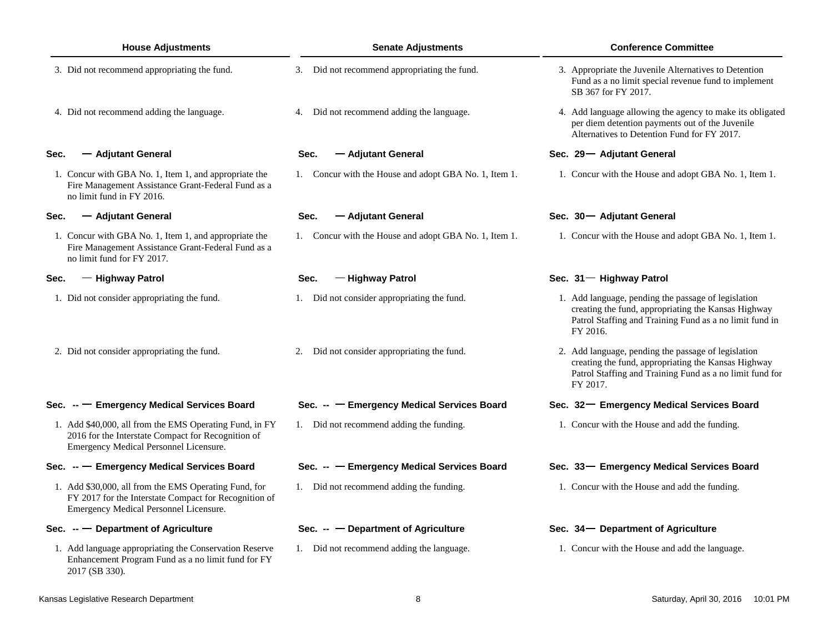| <b>House Adjustments</b> |                                                                                                                                                          | <b>Senate Adjustments</b>                             | <b>Conference Committee</b>                                                                                                                                                        |  |  |  |
|--------------------------|----------------------------------------------------------------------------------------------------------------------------------------------------------|-------------------------------------------------------|------------------------------------------------------------------------------------------------------------------------------------------------------------------------------------|--|--|--|
|                          | 3. Did not recommend appropriating the fund.                                                                                                             | 3. Did not recommend appropriating the fund.          | 3. Appropriate the Juvenile Alternatives to Detention<br>Fund as a no limit special revenue fund to implement<br>SB 367 for FY 2017.                                               |  |  |  |
|                          | 4. Did not recommend adding the language.                                                                                                                | 4. Did not recommend adding the language.             | 4. Add language allowing the agency to make its obligated<br>per diem detention payments out of the Juvenile<br>Alternatives to Detention Fund for FY 2017.                        |  |  |  |
| Sec.                     | — Adjutant General                                                                                                                                       | — Adjutant General<br>Sec.                            | Sec. 29- Adjutant General                                                                                                                                                          |  |  |  |
|                          | 1. Concur with GBA No. 1, Item 1, and appropriate the<br>Fire Management Assistance Grant-Federal Fund as a<br>no limit fund in FY 2016.                 | 1. Concur with the House and adopt GBA No. 1, Item 1. | 1. Concur with the House and adopt GBA No. 1, Item 1.                                                                                                                              |  |  |  |
| Sec.                     | — Adjutant General                                                                                                                                       | Sec.<br>— Adjutant General                            | Sec. 30 - Adjutant General                                                                                                                                                         |  |  |  |
|                          | 1. Concur with GBA No. 1, Item 1, and appropriate the<br>Fire Management Assistance Grant-Federal Fund as a<br>no limit fund for FY 2017.                | 1. Concur with the House and adopt GBA No. 1, Item 1. | 1. Concur with the House and adopt GBA No. 1, Item 1.                                                                                                                              |  |  |  |
| Sec.                     | - Highway Patrol                                                                                                                                         | - Highway Patrol<br>Sec.                              | Sec. 31 - Highway Patrol                                                                                                                                                           |  |  |  |
|                          | 1. Did not consider appropriating the fund.                                                                                                              | 1. Did not consider appropriating the fund.           | 1. Add language, pending the passage of legislation<br>creating the fund, appropriating the Kansas Highway<br>Patrol Staffing and Training Fund as a no limit fund in<br>FY 2016.  |  |  |  |
|                          | 2. Did not consider appropriating the fund.                                                                                                              | 2. Did not consider appropriating the fund.           | 2. Add language, pending the passage of legislation<br>creating the fund, appropriating the Kansas Highway<br>Patrol Staffing and Training Fund as a no limit fund for<br>FY 2017. |  |  |  |
|                          | Sec. -- Emergency Medical Services Board                                                                                                                 | Sec. -- - Emergency Medical Services Board            | Sec. 32- Emergency Medical Services Board                                                                                                                                          |  |  |  |
|                          | 1. Add \$40,000, all from the EMS Operating Fund, in FY<br>2016 for the Interstate Compact for Recognition of<br>Emergency Medical Personnel Licensure.  | 1. Did not recommend adding the funding.              | 1. Concur with the House and add the funding.                                                                                                                                      |  |  |  |
|                          | Sec. -- Emergency Medical Services Board                                                                                                                 | Sec. -- - Emergency Medical Services Board            | Sec. 33- Emergency Medical Services Board                                                                                                                                          |  |  |  |
|                          | 1. Add \$30,000, all from the EMS Operating Fund, for<br>FY 2017 for the Interstate Compact for Recognition of<br>Emergency Medical Personnel Licensure. | 1. Did not recommend adding the funding.              | 1. Concur with the House and add the funding.                                                                                                                                      |  |  |  |
|                          | Sec. $-$ Department of Agriculture                                                                                                                       | Sec. $ -$ Department of Agriculture                   | Sec. 34 – Department of Agriculture                                                                                                                                                |  |  |  |
|                          | 1. Add language appropriating the Conservation Reserve<br>Enhancement Program Fund as a no limit fund for FY<br>2017 (SB 330).                           | 1. Did not recommend adding the language.             | 1. Concur with the House and add the language.                                                                                                                                     |  |  |  |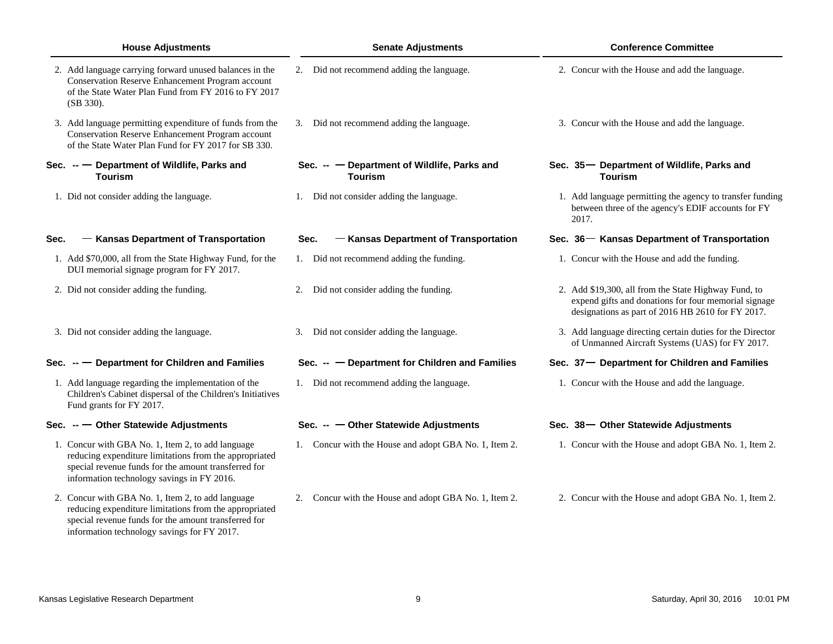| <b>House Adjustments</b> |                                                                                                                                                                                                                   | <b>Senate Adjustments</b> |                                                               | <b>Conference Committee</b> |       |                                                                                                                                                                   |  |
|--------------------------|-------------------------------------------------------------------------------------------------------------------------------------------------------------------------------------------------------------------|---------------------------|---------------------------------------------------------------|-----------------------------|-------|-------------------------------------------------------------------------------------------------------------------------------------------------------------------|--|
|                          | 2. Add language carrying forward unused balances in the<br><b>Conservation Reserve Enhancement Program account</b><br>of the State Water Plan Fund from FY 2016 to FY 2017<br>(SB 330).                           |                           | 2. Did not recommend adding the language.                     |                             |       | 2. Concur with the House and add the language.                                                                                                                    |  |
|                          | 3. Add language permitting expenditure of funds from the<br><b>Conservation Reserve Enhancement Program account</b><br>of the State Water Plan Fund for FY 2017 for SB 330.                                       |                           | 3. Did not recommend adding the language.                     |                             |       | 3. Concur with the House and add the language.                                                                                                                    |  |
|                          | Sec. -- Department of Wildlife, Parks and<br><b>Tourism</b>                                                                                                                                                       |                           | Sec. -- - Department of Wildlife, Parks and<br><b>Tourism</b> |                             |       | Sec. 35 – Department of Wildlife, Parks and<br><b>Tourism</b>                                                                                                     |  |
|                          | 1. Did not consider adding the language.                                                                                                                                                                          |                           | 1. Did not consider adding the language.                      |                             | 2017. | 1. Add language permitting the agency to transfer funding<br>between three of the agency's EDIF accounts for FY                                                   |  |
| Sec.                     | - Kansas Department of Transportation                                                                                                                                                                             |                           | - Kansas Department of Transportation<br>Sec.                 |                             |       | Sec. 36 – Kansas Department of Transportation                                                                                                                     |  |
|                          | 1. Add \$70,000, all from the State Highway Fund, for the<br>DUI memorial signage program for FY 2017.                                                                                                            |                           | 1. Did not recommend adding the funding.                      |                             |       | 1. Concur with the House and add the funding.                                                                                                                     |  |
|                          | 2. Did not consider adding the funding.                                                                                                                                                                           | 2.                        | Did not consider adding the funding.                          |                             |       | 2. Add \$19,300, all from the State Highway Fund, to<br>expend gifts and donations for four memorial signage<br>designations as part of 2016 HB 2610 for FY 2017. |  |
|                          | 3. Did not consider adding the language.                                                                                                                                                                          | 3.                        | Did not consider adding the language.                         |                             |       | 3. Add language directing certain duties for the Director<br>of Unmanned Aircraft Systems (UAS) for FY 2017.                                                      |  |
|                          | Sec. -- - Department for Children and Families                                                                                                                                                                    |                           | Sec. -- - Department for Children and Families                |                             |       | Sec. 37- Department for Children and Families                                                                                                                     |  |
|                          | 1. Add language regarding the implementation of the<br>Children's Cabinet dispersal of the Children's Initiatives<br>Fund grants for FY 2017.                                                                     |                           | 1. Did not recommend adding the language.                     |                             |       | 1. Concur with the House and add the language.                                                                                                                    |  |
|                          | Sec. $ -$ Other Statewide Adjustments                                                                                                                                                                             |                           | Sec. $ -$ Other Statewide Adjustments                         |                             |       | Sec. 38- Other Statewide Adjustments                                                                                                                              |  |
|                          | 1. Concur with GBA No. 1, Item 2, to add language<br>reducing expenditure limitations from the appropriated<br>special revenue funds for the amount transferred for<br>information technology savings in FY 2016. |                           | 1. Concur with the House and adopt GBA No. 1, Item 2.         |                             |       | 1. Concur with the House and adopt GBA No. 1, Item 2.                                                                                                             |  |
|                          | 2. Concur with GBA No. 1, Item 2, to add language<br>reducing expenditure limitations from the appropriated                                                                                                       | 2.                        | Concur with the House and adopt GBA No. 1, Item 2.            |                             |       | 2. Concur with the House and adopt GBA No. 1, Item 2.                                                                                                             |  |

special revenue funds for the amount transferred for information technology savings for FY 2017.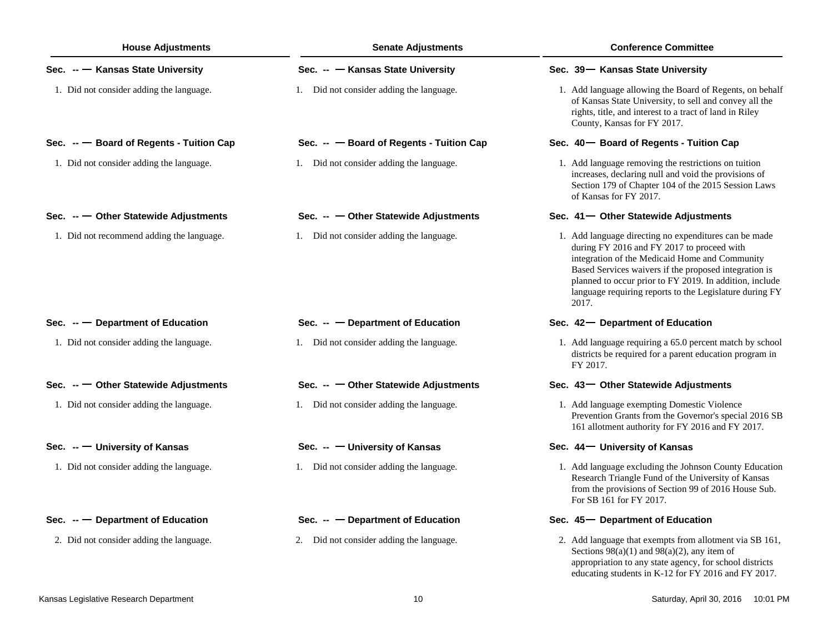| <b>House Adjustments</b>                  | <b>Senate Adjustments</b>                | <b>Conference Committee</b>                                                                                                                                                                                                                                                                                                                   |  |  |  |
|-------------------------------------------|------------------------------------------|-----------------------------------------------------------------------------------------------------------------------------------------------------------------------------------------------------------------------------------------------------------------------------------------------------------------------------------------------|--|--|--|
| Sec. -- Kansas State University           | Sec. -- Kansas State University          | Sec. 39- Kansas State University                                                                                                                                                                                                                                                                                                              |  |  |  |
| 1. Did not consider adding the language.  | 1. Did not consider adding the language. | 1. Add language allowing the Board of Regents, on behalf<br>of Kansas State University, to sell and convey all the<br>rights, title, and interest to a tract of land in Riley<br>County, Kansas for FY 2017.                                                                                                                                  |  |  |  |
| Sec. -- Board of Regents - Tuition Cap    | Sec. -- Board of Regents - Tuition Cap   | Sec. 40 - Board of Regents - Tuition Cap                                                                                                                                                                                                                                                                                                      |  |  |  |
| 1. Did not consider adding the language.  | 1. Did not consider adding the language. | 1. Add language removing the restrictions on tuition<br>increases, declaring null and void the provisions of<br>Section 179 of Chapter 104 of the 2015 Session Laws<br>of Kansas for FY 2017.                                                                                                                                                 |  |  |  |
| Sec. $ -$ Other Statewide Adjustments     | Sec. -- - Other Statewide Adjustments    | Sec. 41 - Other Statewide Adjustments                                                                                                                                                                                                                                                                                                         |  |  |  |
| 1. Did not recommend adding the language. | 1. Did not consider adding the language. | 1. Add language directing no expenditures can be made<br>during FY 2016 and FY 2017 to proceed with<br>integration of the Medicaid Home and Community<br>Based Services waivers if the proposed integration is<br>planned to occur prior to FY 2019. In addition, include<br>language requiring reports to the Legislature during FY<br>2017. |  |  |  |
| Sec. $-$ Department of Education          | Sec. -- - Department of Education        | Sec. 42 - Department of Education                                                                                                                                                                                                                                                                                                             |  |  |  |
| 1. Did not consider adding the language.  | 1. Did not consider adding the language. | 1. Add language requiring a 65.0 percent match by school<br>districts be required for a parent education program in<br>FY 2017.                                                                                                                                                                                                               |  |  |  |
| Sec. $ -$ Other Statewide Adjustments     | Sec. -- - Other Statewide Adjustments    | Sec. 43-Other Statewide Adjustments                                                                                                                                                                                                                                                                                                           |  |  |  |
| 1. Did not consider adding the language.  | 1. Did not consider adding the language. | 1. Add language exempting Domestic Violence<br>Prevention Grants from the Governor's special 2016 SB<br>161 allotment authority for FY 2016 and FY 2017.                                                                                                                                                                                      |  |  |  |
| Sec. -- University of Kansas              | Sec. -- - University of Kansas           | Sec. 44 - University of Kansas                                                                                                                                                                                                                                                                                                                |  |  |  |
| 1. Did not consider adding the language.  | 1. Did not consider adding the language. | 1. Add language excluding the Johnson County Education<br>Research Triangle Fund of the University of Kansas<br>from the provisions of Section 99 of 2016 House Sub.<br>For SB 161 for FY 2017.                                                                                                                                               |  |  |  |
| Sec. $-$ Department of Education          | Sec. $ -$ Department of Education        | Sec. 45 – Department of Education                                                                                                                                                                                                                                                                                                             |  |  |  |
| 2. Did not consider adding the language.  | 2. Did not consider adding the language. | 2. Add language that exempts from allotment via SB 161,<br>Sections $98(a)(1)$ and $98(a)(2)$ , any item of<br>appropriation to any state agency, for school districts<br>educating students in K-12 for FY 2016 and FY 2017.                                                                                                                 |  |  |  |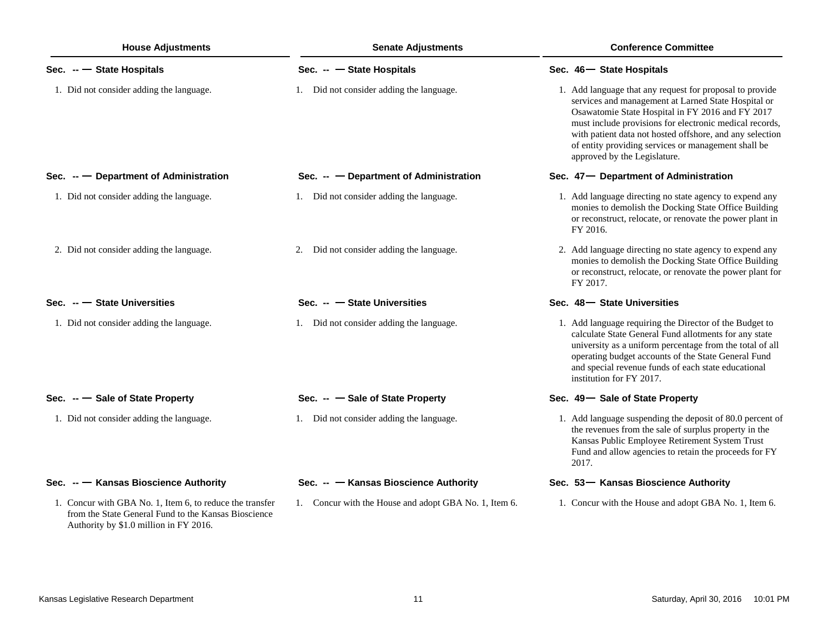| <b>House Adjustments</b>                                                                                                                                   | <b>Senate Adjustments</b>                             | <b>Conference Committee</b>                                                                                                                                                                                                                                                                                                                                                       |  |  |
|------------------------------------------------------------------------------------------------------------------------------------------------------------|-------------------------------------------------------|-----------------------------------------------------------------------------------------------------------------------------------------------------------------------------------------------------------------------------------------------------------------------------------------------------------------------------------------------------------------------------------|--|--|
| Sec. $-$ State Hospitals                                                                                                                                   | Sec. $ -$ State Hospitals                             | Sec. 46 - State Hospitals                                                                                                                                                                                                                                                                                                                                                         |  |  |
| 1. Did not consider adding the language.                                                                                                                   | 1. Did not consider adding the language.              | 1. Add language that any request for proposal to provide<br>services and management at Larned State Hospital or<br>Osawatomie State Hospital in FY 2016 and FY 2017<br>must include provisions for electronic medical records,<br>with patient data not hosted offshore, and any selection<br>of entity providing services or management shall be<br>approved by the Legislature. |  |  |
| Sec. $-$ Department of Administration                                                                                                                      | Sec. $ -$ Department of Administration                | Sec. 47 – Department of Administration                                                                                                                                                                                                                                                                                                                                            |  |  |
| 1. Did not consider adding the language.                                                                                                                   | 1. Did not consider adding the language.              | 1. Add language directing no state agency to expend any<br>monies to demolish the Docking State Office Building<br>or reconstruct, relocate, or renovate the power plant in<br>FY 2016.                                                                                                                                                                                           |  |  |
| 2. Did not consider adding the language.                                                                                                                   | 2. Did not consider adding the language.              | 2. Add language directing no state agency to expend any<br>monies to demolish the Docking State Office Building<br>or reconstruct, relocate, or renovate the power plant for<br>FY 2017.                                                                                                                                                                                          |  |  |
| Sec. $-$ State Universities                                                                                                                                | Sec. $ -$ State Universities                          | Sec. 48 - State Universities                                                                                                                                                                                                                                                                                                                                                      |  |  |
| 1. Did not consider adding the language.                                                                                                                   | 1. Did not consider adding the language.              | 1. Add language requiring the Director of the Budget to<br>calculate State General Fund allotments for any state<br>university as a uniform percentage from the total of all<br>operating budget accounts of the State General Fund<br>and special revenue funds of each state educational<br>institution for FY 2017.                                                            |  |  |
| Sec. -- Sale of State Property                                                                                                                             | Sec. -- Sale of State Property                        | Sec. 49- Sale of State Property                                                                                                                                                                                                                                                                                                                                                   |  |  |
| 1. Did not consider adding the language.                                                                                                                   | 1. Did not consider adding the language.              | 1. Add language suspending the deposit of 80.0 percent of<br>the revenues from the sale of surplus property in the<br>Kansas Public Employee Retirement System Trust<br>Fund and allow agencies to retain the proceeds for FY<br>2017.                                                                                                                                            |  |  |
| Sec. -- Kansas Bioscience Authority                                                                                                                        | Sec. -- Kansas Bioscience Authority                   | Sec. 53- Kansas Bioscience Authority                                                                                                                                                                                                                                                                                                                                              |  |  |
| 1. Concur with GBA No. 1, Item 6, to reduce the transfer<br>from the State General Fund to the Kansas Bioscience<br>Authority by \$1.0 million in FY 2016. | 1. Concur with the House and adopt GBA No. 1, Item 6. | 1. Concur with the House and adopt GBA No. 1, Item 6.                                                                                                                                                                                                                                                                                                                             |  |  |